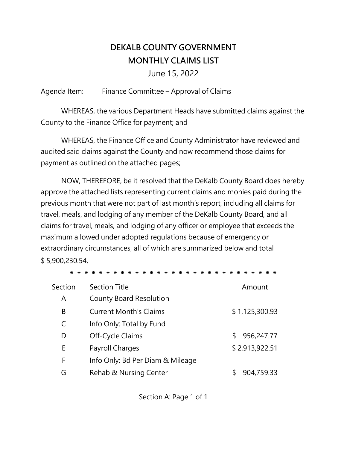# **DEKALB COUNTY GOVERNMENT MONTHLY CLAIMS LIST**

June 15, 2022

Agenda Item: Finance Committee – Approval of Claims

WHEREAS, the various Department Heads have submitted claims against the County to the Finance Office for payment; and

WHEREAS, the Finance Office and County Administrator have reviewed and audited said claims against the County and now recommend those claims for payment as outlined on the attached pages;

NOW, THEREFORE, be it resolved that the DeKalb County Board does hereby approve the attached lists representing current claims and monies paid during the previous month that were not part of last month's report, including all claims for travel, meals, and lodging of any member of the DeKalb County Board, and all claims for travel, meals, and lodging of any officer or employee that exceeds the maximum allowed under adopted regulations because of emergency or extraordinary circumstances, all of which are summarized below and total \$ 5,900,230.54.

\* \* \* \* \* \* \*

| Section | <b>Section Title</b>             | Amount         |
|---------|----------------------------------|----------------|
| A       | <b>County Board Resolution</b>   |                |
| B       | <b>Current Month's Claims</b>    | \$1,125,300.93 |
| C       | Info Only: Total by Fund         |                |
| D       | Off-Cycle Claims                 | 956,247.77     |
| E       | Payroll Charges                  | \$2,913,922.51 |
| F       | Info Only: Bd Per Diam & Mileage |                |
| G       | Rehab & Nursing Center           | 904,759.33     |

Section A: Page 1 of 1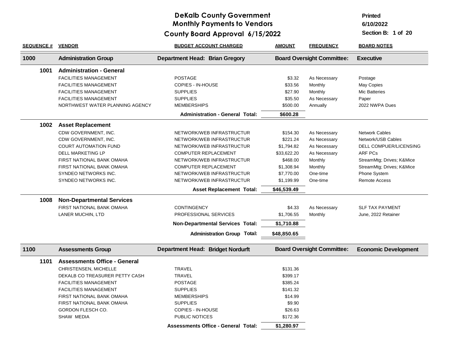**Printed**

**6/10/2022**

| <b>SEQUENCE #</b> | <b>VENDOR</b>                       | <b>BUDGET ACCOUNT CHARGED</b>              | <b>AMOUNT</b> | <b>FREQUENCY</b>                  | <b>BOARD NOTES</b>          |
|-------------------|-------------------------------------|--------------------------------------------|---------------|-----------------------------------|-----------------------------|
| 1000              | <b>Administration Group</b>         | <b>Department Head: Brian Gregory</b>      |               | <b>Board Oversight Committee:</b> | <b>Executive</b>            |
| 1001              | <b>Administration - General</b>     |                                            |               |                                   |                             |
|                   | <b>FACILITIES MANAGEMENT</b>        | <b>POSTAGE</b>                             | \$3.32        | As Necessary                      | Postage                     |
|                   | <b>FACILITIES MANAGEMENT</b>        | <b>COPIES - IN-HOUSE</b>                   | \$33.56       | Monthly                           | May Copies                  |
|                   | <b>FACILITIES MANAGEMENT</b>        | <b>SUPPLIES</b>                            | \$27.90       | Monthly                           | <b>Mic Batteries</b>        |
|                   | <b>FACILITIES MANAGEMENT</b>        | <b>SUPPLIES</b>                            | \$35.50       | As Necessary                      | Paper                       |
|                   | NORTHWEST WATER PLANNING AGENCY     | <b>MEMBERSHIPS</b>                         | \$500.00      | Annually                          | 2022 NWPA Dues              |
|                   |                                     | <b>Administration - General Total:</b>     | \$600.28      |                                   |                             |
| 1002              | <b>Asset Replacement</b>            |                                            |               |                                   |                             |
|                   | CDW GOVERNMENT, INC.                | NETWORK/WEB INFRASTRUCTUR                  | \$154.30      | As Necessary                      | <b>Network Cables</b>       |
|                   | CDW GOVERNMENT, INC.                | NETWORK/WEB INFRASTRUCTUR                  | \$221.24      | As Necessary                      | Network/USB Cables          |
|                   | <b>COURT AUTOMATION FUND</b>        | NETWORK/WEB INFRASTRUCTUR                  | \$1,794.82    | As Necessary                      | DELL COMPUER/LICENSING      |
|                   | DELL MARKETING LP                   | COMPUTER REPLACEMENT                       | \$33,622.20   | As Necessary                      | <b>ARF PCs</b>              |
|                   | FIRST NATIONAL BANK OMAHA           | NETWORK/WEB INFRASTRUCTUR                  | \$468.00      | Monthly                           | StreamMtg; Drives; K&Mice   |
|                   | FIRST NATIONAL BANK OMAHA           | <b>COMPUTER REPLACEMENT</b>                | \$1,308.94    | Monthly                           | StreamMtg; Drives; K&Mice   |
|                   | SYNDEO NETWORKS INC.                | NETWORK/WEB INFRASTRUCTUR                  | \$7,770.00    | One-time                          | Phone System                |
|                   | SYNDEO NETWORKS INC.                | NETWORK/WEB INFRASTRUCTUR                  | \$1,199.99    | One-time                          | Remote Access               |
|                   |                                     | <b>Asset Replacement Total:</b>            | \$46,539.49   |                                   |                             |
| 1008              | <b>Non-Departmental Services</b>    |                                            |               |                                   |                             |
|                   | FIRST NATIONAL BANK OMAHA           | <b>CONTINGENCY</b>                         | \$4.33        | As Necessary                      | <b>SLF TAX PAYMENT</b>      |
|                   | LANER MUCHIN, LTD                   | PROFESSIONAL SERVICES                      | \$1,706.55    | Monthly                           | June, 2022 Retainer         |
|                   |                                     | <b>Non-Departmental Services Total:</b>    | \$1,710.88    |                                   |                             |
|                   |                                     | <b>Administration Group Total:</b>         | \$48,850.65   |                                   |                             |
| 1100              | <b>Assessments Group</b>            | <b>Department Head: Bridget Nordurft</b>   |               | <b>Board Oversight Committee:</b> | <b>Economic Development</b> |
| 1101              | <b>Assessments Office - General</b> |                                            |               |                                   |                             |
|                   | CHRISTENSEN, MICHELLE               | <b>TRAVEL</b>                              | \$131.36      |                                   |                             |
|                   | DEKALB CO TREASURER PETTY CASH      | <b>TRAVEL</b>                              | \$399.17      |                                   |                             |
|                   | <b>FACILITIES MANAGEMENT</b>        | <b>POSTAGE</b>                             | \$385.24      |                                   |                             |
|                   | <b>FACILITIES MANAGEMENT</b>        | <b>SUPPLIES</b>                            | \$141.32      |                                   |                             |
|                   | FIRST NATIONAL BANK OMAHA           | <b>MEMBERSHIPS</b>                         | \$14.99       |                                   |                             |
|                   | FIRST NATIONAL BANK OMAHA           | <b>SUPPLIES</b>                            | \$9.90        |                                   |                             |
|                   | GORDON FLESCH CO.                   | COPIES - IN-HOUSE                          | \$26.63       |                                   |                             |
|                   | SHAW MEDIA                          | PUBLIC NOTICES                             | \$172.36      |                                   |                             |
|                   |                                     | <b>Assessments Office - General Total:</b> | \$1,280.97    |                                   |                             |
|                   |                                     |                                            |               |                                   |                             |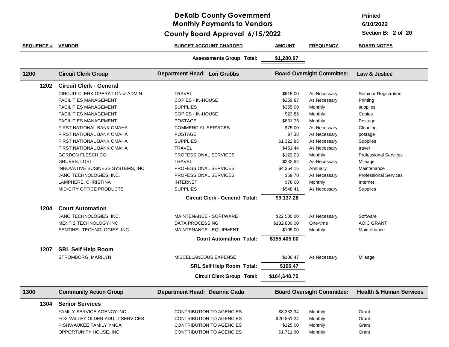### **DeKalb County Government Monthly Payments to Vendors**

**6/15/2022 County Board Approval**

**6/10/2022 Printed**

| <b>SEQUENCE # VENDOR</b> |                                                 | <b>BUDGET ACCOUNT CHARGED</b>         | <b>AMOUNT</b> | <b>FREQUENCY</b>                  | <b>BOARD NOTES</b>                 |
|--------------------------|-------------------------------------------------|---------------------------------------|---------------|-----------------------------------|------------------------------------|
|                          |                                                 | <b>Assessments Group Total:</b>       | \$1,280.97    |                                   |                                    |
| 1200                     | <b>Circuit Clerk Group</b>                      | <b>Department Head: Lori Grubbs</b>   |               | <b>Board Oversight Committee:</b> | Law & Justice                      |
| 1202                     | <b>Circuit Clerk - General</b>                  |                                       |               |                                   |                                    |
|                          | CIRCUIT CLERK OPERATION & ADMIN.                | <b>TRAVEL</b>                         | \$615.00      | As Necessary                      | Seminar Registration               |
|                          | <b>FACILITIES MANAGEMENT</b>                    | COPIES - IN-HOUSE                     | \$259.87      | As Necessary                      | Printing                           |
|                          | <b>FACILITIES MANAGEMENT</b>                    | <b>SUPPLIES</b>                       | \$355.00      | Monthly                           | supplies                           |
|                          | <b>FACILITIES MANAGEMENT</b>                    | <b>COPIES - IN-HOUSE</b>              | \$23.86       | Monthly                           | Copies                             |
|                          | <b>FACILITIES MANAGEMENT</b>                    | <b>POSTAGE</b>                        | \$631.75      | Monthly                           | Postage                            |
|                          | FIRST NATIONAL BANK OMAHA                       | <b>COMMERCIAL SERVICES</b>            | \$75.00       | As Necessary                      | Cleaning                           |
|                          | FIRST NATIONAL BANK OMAHA                       | <b>POSTAGE</b>                        | \$7.38        | As Necessary                      | postage                            |
|                          | FIRST NATIONAL BANK OMAHA                       | <b>SUPPLIES</b>                       | \$1,322.85    | As Necessary                      | Supplies                           |
|                          | FIRST NATIONAL BANK OMAHA                       | <b>TRAVEL</b>                         | \$451.44      | As Necessary                      | travel                             |
|                          | <b>GORDON FLESCH CO.</b>                        | PROFESSIONAL SERVICES                 | \$122.03      | Monthly                           | <b>Professional Services</b>       |
|                          | <b>GRUBBS, LORI</b>                             | <b>TRAVEL</b>                         | \$232.84      | As Necessary                      | Mileage                            |
|                          | INNOVATIVE BUSINESS SYSTEMS, INC.               | PROFESSIONAL SERVICES                 | \$4,354.15    | Annually                          | Maintenance                        |
|                          | JANO TECHNOLOGIES, INC.                         | PROFESSIONAL SERVICES                 | \$59.70       | As Necessary                      | <b>Professional Services</b>       |
|                          | LAMPHERE, CHRISTINA                             | <b>INTERNET</b>                       | \$78.00       | Monthly                           | Internet                           |
|                          | MID-CITY OFFICE PRODUCTS                        | <b>SUPPLIES</b>                       | \$548.41      | As Necessary                      | Supplies                           |
|                          |                                                 | <b>Circuit Clerk - General Total:</b> | \$9,137.28    |                                   |                                    |
| 1204                     | <b>Court Automation</b>                         |                                       |               |                                   |                                    |
|                          | JANO TECHNOLOGIES, INC.                         | MAINTENANCE - SOFTWARE                | \$22,500.00   | As Necessary                      | Software                           |
|                          | MENTIS TECHNOLOGY INC                           | DATA PROCESSING                       | \$132,800.00  | One-time                          | <b>AOIC GRANT</b>                  |
|                          | SENTINEL TECHNOLOGIES, INC.                     | MAINTENANCE - EQUIPMENT               | \$105.00      | Monthly                           | Maintenance                        |
|                          |                                                 | <b>Court Automation Total:</b>        | \$155,405.00  |                                   |                                    |
|                          |                                                 |                                       |               |                                   |                                    |
| 1207                     | <b>SRL Self Help Room</b><br>STROMBORG, MARILYN | MISCELLANEOUS EXPENSE                 | \$106.47      | As Necessary                      | Mileage                            |
|                          |                                                 | <b>SRL Self Help Room Total:</b>      | \$106.47      |                                   |                                    |
|                          |                                                 | <b>Circuit Clerk Group Total:</b>     | \$164,648.75  |                                   |                                    |
|                          |                                                 |                                       |               |                                   |                                    |
| 1300                     | <b>Community Action Group</b>                   | Department Head: Deanna Cada          |               | <b>Board Oversight Committee:</b> | <b>Health &amp; Human Services</b> |
| 1304                     | <b>Senior Services</b>                          |                                       |               |                                   |                                    |
|                          | FAMILY SERVICE AGENCY INC                       | <b>CONTRIBUTION TO AGENCIES</b>       | \$8,333.34    | Monthly                           | Grant                              |
|                          | FOX VALLEY OLDER ADULT SERVICES                 | <b>CONTRIBUTION TO AGENCIES</b>       | \$20,851.24   | Monthly                           | Grant                              |
|                          |                                                 |                                       |               |                                   |                                    |
|                          | KISHWAUKEE FAMILY YMCA                          | <b>CONTRIBUTION TO AGENCIES</b>       | \$125.00      | Monthly                           | Grant                              |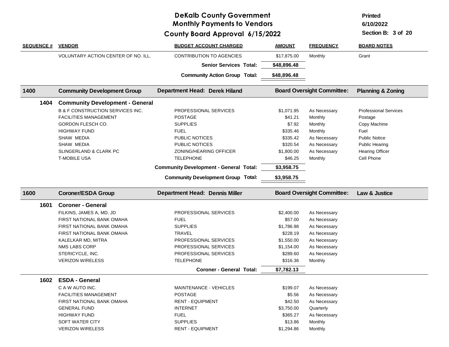**Printed**

**6/10/2022**

| <b>SEQUENCE #</b> | <b>VENDOR</b>                               | <b>BUDGET ACCOUNT CHARGED</b>                 | <b>AMOUNT</b> | <b>FREQUENCY</b>                  | <b>BOARD NOTES</b>           |
|-------------------|---------------------------------------------|-----------------------------------------------|---------------|-----------------------------------|------------------------------|
|                   | <b>VOLUNTARY ACTION CENTER OF NO. ILL.</b>  | <b>CONTRIBUTION TO AGENCIES</b>               | \$17,875.00   | Monthly                           | Grant                        |
|                   |                                             | <b>Senior Services Total:</b>                 | \$48,896.48   |                                   |                              |
|                   |                                             | <b>Community Action Group Total:</b>          | \$48,896.48   |                                   |                              |
| 1400              | <b>Community Development Group</b>          | Department Head: Derek Hiland                 |               | <b>Board Oversight Committee:</b> | <b>Planning &amp; Zoning</b> |
| 1404              | <b>Community Development - General</b>      |                                               |               |                                   |                              |
|                   | <b>B &amp; F CONSTRUCTION SERVICES INC.</b> | PROFESSIONAL SERVICES                         | \$1,071.95    | As Necessary                      | <b>Professional Services</b> |
|                   | <b>FACILITIES MANAGEMENT</b>                | <b>POSTAGE</b>                                | \$41.21       | Monthly                           | Postage                      |
|                   | GORDON FLESCH CO.                           | <b>SUPPLIES</b>                               | \$7.92        | Monthly                           | Copy Machine                 |
|                   | <b>HIGHWAY FUND</b>                         | <b>FUEL</b>                                   | \$335.46      | Monthly                           | Fuel                         |
|                   | SHAW MEDIA                                  | PUBLIC NOTICES                                | \$335.42      | As Necessary                      | <b>Public Notice</b>         |
|                   | SHAW MEDIA                                  | PUBLIC NOTICES                                | \$320.54      | As Necessary                      | <b>Public Hearing</b>        |
|                   | SLINGERLAND & CLARK PC                      | ZONING/HEARING OFFICER                        | \$1,800.00    | As Necessary                      | <b>Hearing Officer</b>       |
|                   | <b>T-MOBILE USA</b>                         | <b>TELEPHONE</b>                              | \$46.25       | Monthly                           | Cell Phone                   |
|                   |                                             | <b>Community Development - General Total:</b> | \$3,958.75    |                                   |                              |
|                   |                                             | <b>Community Development Group Total:</b>     | \$3,958.75    |                                   |                              |
|                   | <b>Coroner/ESDA Group</b>                   | <b>Department Head: Dennis Miller</b>         |               | <b>Board Oversight Committee:</b> | Law & Justice                |
| 1600              |                                             |                                               |               |                                   |                              |
| 1601              | <b>Coroner - General</b>                    |                                               |               |                                   |                              |
|                   | FILKINS, JAMES A, MD, JD                    | PROFESSIONAL SERVICES                         | \$2,400.00    |                                   |                              |
|                   | FIRST NATIONAL BANK OMAHA                   | <b>FUEL</b>                                   | \$57.00       | As Necessary<br>As Necessary      |                              |
|                   | FIRST NATIONAL BANK OMAHA                   | <b>SUPPLIES</b>                               | \$1,786.98    | As Necessary                      |                              |
|                   | FIRST NATIONAL BANK OMAHA                   | <b>TRAVEL</b>                                 | \$228.19      |                                   |                              |
|                   | KALELKAR MD, MITRA                          | PROFESSIONAL SERVICES                         | \$1,550.00    | As Necessary<br>As Necessary      |                              |
|                   | <b>NMS LABS CORP</b>                        | PROFESSIONAL SERVICES                         | \$1,154.00    | As Necessary                      |                              |
|                   | STERICYCLE, INC.                            | PROFESSIONAL SERVICES                         | \$289.60      | As Necessary                      |                              |
|                   | <b>VERIZON WIRELESS</b>                     | <b>TELEPHONE</b>                              | \$316.36      | Monthly                           |                              |
|                   |                                             | <b>Coroner - General Total:</b>               | \$7,782.13    |                                   |                              |
| 1602              | <b>ESDA - General</b>                       |                                               |               |                                   |                              |
|                   | C A W AUTO INC.                             | MAINTENANCE - VEHICLES                        | \$199.07      | As Necessary                      |                              |
|                   | <b>FACILITIES MANAGEMENT</b>                | <b>POSTAGE</b>                                | \$5.56        | As Necessary                      |                              |
|                   | FIRST NATIONAL BANK OMAHA                   | <b>RENT - EQUIPMENT</b>                       | \$42.50       | As Necessary                      |                              |
|                   | <b>GENERAL FUND</b>                         | <b>INTERNET</b>                               | \$3,750.00    | Quarterly                         |                              |
|                   | <b>HIGHWAY FUND</b>                         | <b>FUEL</b>                                   | \$365.27      | As Necessary                      |                              |
|                   | SOFT WATER CITY                             | <b>SUPPLIES</b>                               | \$13.86       | Monthly                           |                              |
|                   | <b>VERIZON WIRELESS</b>                     | <b>RENT - EQUIPMENT</b>                       | \$1,294.86    | Monthly                           |                              |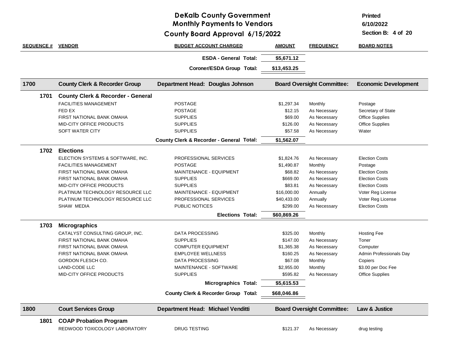# **DeKalb County Government Monthly Payments to Vendors**

**6/15/2022 County Board Approval**

**Printed**

**6/10/2022**

| <b>SEQUENCE #</b> | <b>VENDOR</b>                                | <b>BUDGET ACCOUNT CHARGED</b>            | <b>AMOUNT</b> | <b>FREQUENCY</b>                  | <b>BOARD NOTES</b>          |
|-------------------|----------------------------------------------|------------------------------------------|---------------|-----------------------------------|-----------------------------|
|                   |                                              | <b>ESDA - General Total:</b>             | \$5,671.12    |                                   |                             |
|                   |                                              | Coroner/ESDA Group Total:                | \$13,453.25   |                                   |                             |
| 1700              | <b>County Clerk &amp; Recorder Group</b>     | Department Head: Douglas Johnson         |               | <b>Board Oversight Committee:</b> | <b>Economic Development</b> |
| 1701              | <b>County Clerk &amp; Recorder - General</b> |                                          |               |                                   |                             |
|                   | <b>FACILITIES MANAGEMENT</b>                 | <b>POSTAGE</b>                           | \$1,297.34    | Monthly                           | Postage                     |
|                   | FED EX                                       | <b>POSTAGE</b>                           | \$12.15       | As Necessary                      | Secretary of State          |
|                   | <b>FIRST NATIONAL BANK OMAHA</b>             | <b>SUPPLIES</b>                          | \$69.00       | As Necessary                      | <b>Office Supplies</b>      |
|                   | MID-CITY OFFICE PRODUCTS                     | <b>SUPPLIES</b>                          | \$126.00      | As Necessary                      | <b>Office Supplies</b>      |
|                   | SOFT WATER CITY                              | <b>SUPPLIES</b>                          | \$57.58       | As Necessary                      | Water                       |
|                   |                                              | County Clerk & Recorder - General Total: | \$1,562.07    |                                   |                             |
| 1702              | <b>Elections</b>                             |                                          |               |                                   |                             |
|                   | ELECTION SYSTEMS & SOFTWARE, INC.            | PROFESSIONAL SERVICES                    | \$1,824.76    | As Necessary                      | <b>Election Costs</b>       |
|                   | <b>FACILITIES MANAGEMENT</b>                 | <b>POSTAGE</b>                           | \$1,490.87    | Monthly                           | Postage                     |
|                   | FIRST NATIONAL BANK OMAHA                    | MAINTENANCE - EQUIPMENT                  | \$68.82       | As Necessary                      | <b>Election Costs</b>       |
|                   | <b>FIRST NATIONAL BANK OMAHA</b>             | <b>SUPPLIES</b>                          | \$669.00      | As Necessary                      | <b>Election Costs</b>       |
|                   | <b>MID-CITY OFFICE PRODUCTS</b>              | <b>SUPPLIES</b>                          | \$83.81       | As Necessary                      | <b>Election Costs</b>       |
|                   | PLATINUM TECHNOLOGY RESOURCE LLC             | MAINTENANCE - EQUIPMENT                  | \$16,000.00   | Annually                          | Voter Reg License           |
|                   | PLATINUM TECHNOLOGY RESOURCE LLC             | PROFESSIONAL SERVICES                    | \$40,433.00   | Annually                          | Voter Reg License           |
|                   | SHAW MEDIA                                   | PUBLIC NOTICES                           | \$299.00      | As Necessary                      | <b>Election Costs</b>       |
|                   |                                              | <b>Elections Total:</b>                  | \$60,869.26   |                                   |                             |
| 1703              | <b>Micrographics</b>                         |                                          |               |                                   |                             |
|                   | CATALYST CONSULTING GROUP, INC.              | <b>DATA PROCESSING</b>                   | \$325.00      | Monthly                           | <b>Hosting Fee</b>          |
|                   | FIRST NATIONAL BANK OMAHA                    | <b>SUPPLIES</b>                          | \$147.00      | As Necessary                      | Toner                       |
|                   | FIRST NATIONAL BANK OMAHA                    | <b>COMPUTER EQUIPMENT</b>                | \$1,365.38    | As Necessary                      | Computer                    |
|                   | FIRST NATIONAL BANK OMAHA                    | <b>EMPLOYEE WELLNESS</b>                 | \$160.25      | As Necessary                      | Admin Professionals Day     |
|                   | GORDON FLESCH CO.                            | <b>DATA PROCESSING</b>                   | \$67.08       | Monthly                           | Copiers                     |
|                   | LAND-CODE LLC                                | <b>MAINTENANCE - SOFTWARE</b>            | \$2,955.00    | Monthly                           | \$3.00 per Doc Fee          |
|                   | <b>MID-CITY OFFICE PRODUCTS</b>              | <b>SUPPLIES</b>                          | \$595.82      | As Necessary                      | <b>Office Supplies</b>      |
|                   |                                              | <b>Micrographics Total:</b>              | \$5,615.53    |                                   |                             |
|                   |                                              | County Clerk & Recorder Group Total:     | \$68,046.86   |                                   |                             |
| 1800              | <b>Court Services Group</b>                  | Department Head: Michael Venditti        |               | <b>Board Oversight Committee:</b> | Law & Justice               |
| 1801              | <b>COAP Probation Program</b>                |                                          |               |                                   |                             |
|                   | REDWOOD TOXICOLOGY LABORATORY                | <b>DRUG TESTING</b>                      | \$121.37      | As Necessary                      | drug testing                |
|                   |                                              |                                          |               |                                   |                             |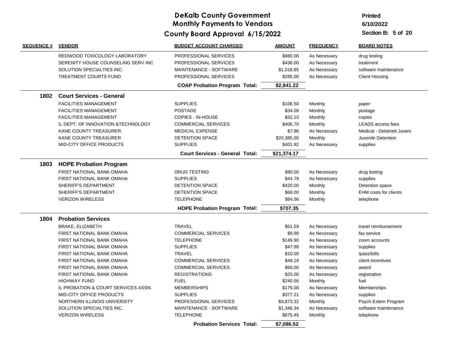# **Printed**

**6/10/2022**

| <b>SEQUENCE #</b> | <b>VENDOR</b>                       | <b>BUDGET ACCOUNT CHARGED</b>          | <b>AMOUNT</b> | <b>FREQUENCY</b> | <b>BOARD NOTES</b>           |
|-------------------|-------------------------------------|----------------------------------------|---------------|------------------|------------------------------|
|                   | REDWOOD TOXICOLOGY LABORATORY       | <b>PROFESSIONAL SERVICES</b>           | \$980.00      | As Necessary     | drug testing                 |
|                   | SERENITY HOUSE COUNSELING SERV INC  | PROFESSIONAL SERVICES                  | \$436.00      | As Necessary     | treatment                    |
|                   | SOLUTION SPECIALTIES INC.           | MAINTENANCE - SOFTWARE                 | \$1,018.85    | As Necessary     | software maintenance         |
|                   | <b>TREATMENT COURTS FUND</b>        | PROFESSIONAL SERVICES                  | \$285.00      | As Necessary     | <b>Client Housing</b>        |
|                   |                                     | <b>COAP Probation Program Total:</b>   | \$2,841.22    |                  |                              |
|                   | 1802 Court Services - General       |                                        |               |                  |                              |
|                   | <b>FACILITIES MANAGEMENT</b>        | <b>SUPPLIES</b>                        | \$106.50      | Monthly          | paper                        |
|                   | <b>FACILITIES MANAGEMENT</b>        | <b>POSTAGE</b>                         | \$34.09       | Monthly          | postage                      |
|                   | <b>FACILITIES MANAGEMENT</b>        | COPIES - IN-HOUSE                      | \$32.10       | Monthly          | copies                       |
|                   | IL DEPT. OF INNOVATION & TECHNOLOGY | <b>COMMERCIAL SERVICES</b>             | \$406.70      | Monthly          | <b>LEADS</b> access fees     |
|                   | <b>KANE COUNTY TREASURER</b>        | <b>MEDICAL EXPENSE</b>                 | \$7.86        | As Necessary     | Medical - Detained Juveni    |
|                   | <b>KANE COUNTY TREASURER</b>        | <b>DETENTION SPACE</b>                 | \$20,385.00   | Monthly          | Juvenile Detention           |
|                   | MID-CITY OFFICE PRODUCTS            | <b>SUPPLIES</b>                        | \$401.92      | As Necessary     | supplies                     |
|                   |                                     | <b>Court Services - General Total:</b> | \$21,374.17   |                  |                              |
| 1803              | <b>HOPE Probation Program</b>       |                                        |               |                  |                              |
|                   | <b>FIRST NATIONAL BANK OMAHA</b>    | <b>DRUG TESTING</b>                    | \$90.00       | As Necessary     | drug testing                 |
|                   | FIRST NATIONAL BANK OMAHA           | <b>SUPPLIES</b>                        | \$44.79       | As Necessary     | supplies                     |
|                   | SHERIFF'S DEPARTMENT                | <b>DETENTION SPACE</b>                 | \$420.00      | Monthly          | Detention space              |
|                   | SHERIFF'S DEPARTMENT                | <b>DETENTION SPACE</b>                 | \$68.00       | Monthly          | <b>EHM</b> costs for clients |
|                   | <b>VERIZON WIRELESS</b>             | <b>TELEPHONE</b>                       | \$84.56       | Monthly          | telephone                    |
|                   |                                     | <b>HOPE Probation Program Total:</b>   | \$707.35      |                  |                              |
| 1804              | <b>Probation Services</b>           |                                        |               |                  |                              |
|                   | BRAKE, ELIZABETH                    | <b>TRAVEL</b>                          | \$51.59       | As Necessary     | travel reimbursement         |
|                   | FIRST NATIONAL BANK OMAHA           | <b>COMMERCIAL SERVICES</b>             | \$9.99        | As Necessary     | fax service                  |
|                   | FIRST NATIONAL BANK OMAHA           | <b>TELEPHONE</b>                       | \$149.90      | As Necessary     | zoom accounts                |
|                   | FIRST NATIONAL BANK OMAHA           | <b>SUPPLIES</b>                        | \$47.98       | As Necessary     | supplies                     |
|                   | FIRST NATIONAL BANK OMAHA           | <b>TRAVEL</b>                          | \$10.00       | As Necessary     | Ipass/tolls                  |
|                   | FIRST NATIONAL BANK OMAHA           | <b>COMMERCIAL SERVICES</b>             | \$48.18       | As Necessary     | client incentives            |
|                   | FIRST NATIONAL BANK OMAHA           | <b>COMMERCIAL SERVICES</b>             | \$56.00       | As Necessary     | award                        |
|                   | FIRST NATIONAL BANK OMAHA           | <b>REGISTRATIONS</b>                   | \$25.00       | As Necessary     | registration                 |
|                   | <b>HIGHWAY FUND</b>                 | <b>FUEL</b>                            | \$240.56      | Monthly          | fuel                         |
|                   | IL PROBATION & COURT SERVICES ASSN. | <b>MEMBERSHIPS</b>                     | \$175.00      | As Necessary     | Memberships                  |
|                   | MID-CITY OFFICE PRODUCTS            | <b>SUPPLIES</b>                        | \$377.21      | As Necessary     | supplies                     |
|                   | NORTHERN ILLINOIS UNIVERSITY        | PROFESSIONAL SERVICES                  | \$3,873.32    | Monthly          | Psych Extern Program         |
|                   | SOLUTION SPECIALTIES INC.           | MAINTENANCE - SOFTWARE                 | \$1,346.34    | As Necessary     | software maintenance         |
|                   | <b>VERIZON WIRELESS</b>             | <b>TELEPHONE</b>                       | \$675.45      | Monthly          | telephone                    |
|                   |                                     | <b>Probation Services Total:</b>       | \$7,086.52    |                  |                              |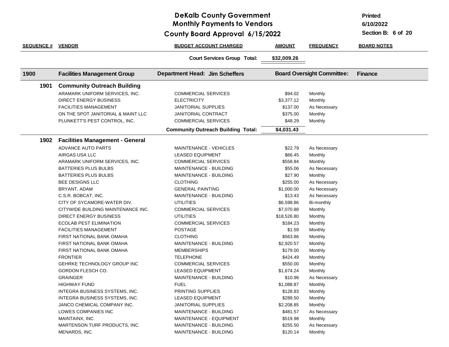### **DeKalb County Government Monthly Payments to Vendors**

**Printed**

**6/10/2022**

**6/15/2022 County Board Approval**

| <b>SEQUENCE # VENDOR</b> |                                        | <b>BUDGET ACCOUNT CHARGED</b>             | <b>AMOUNT</b> | <b>FREQUENCY</b>                  | <b>BOARD NOTES</b> |
|--------------------------|----------------------------------------|-------------------------------------------|---------------|-----------------------------------|--------------------|
|                          |                                        | <b>Court Services Group Total:</b>        | \$32,009.26   |                                   |                    |
| 1900                     | <b>Facilities Management Group</b>     | <b>Department Head: Jim Scheffers</b>     |               | <b>Board Oversight Committee:</b> | <b>Finance</b>     |
| 1901                     | <b>Community Outreach Building</b>     |                                           |               |                                   |                    |
|                          | ARAMARK UNIFORM SERVICES, INC.         | <b>COMMERCIAL SERVICES</b>                | \$94.02       | Monthly                           |                    |
|                          | <b>DIRECT ENERGY BUSINESS</b>          | <b>ELECTRICITY</b>                        | \$3,377.12    | Monthly                           |                    |
|                          | <b>FACILITIES MANAGEMENT</b>           | <b>JANITORIAL SUPPLIES</b>                | \$137.00      | As Necessary                      |                    |
|                          | ON THE SPOT JANITORIAL & MAINT LLC     | <b>JANITORIAL CONTRACT</b>                | \$375.00      | Monthly                           |                    |
|                          | PLUNKETT'S PEST CONTROL, INC.          | <b>COMMERCIAL SERVICES</b>                | \$48.29       | Monthly                           |                    |
|                          |                                        | <b>Community Outreach Building Total:</b> | \$4,031.43    |                                   |                    |
| 1902                     | <b>Facilities Management - General</b> |                                           |               |                                   |                    |
|                          | ADVANCE AUTO PARTS                     | <b>MAINTENANCE - VEHICLES</b>             | \$22.79       | As Necessary                      |                    |
|                          | AIRGAS USA LLC                         | <b>LEASED EQUIPMENT</b>                   | \$66.45       | Monthly                           |                    |
|                          | ARAMARK UNIFORM SERVICES, INC.         | <b>COMMERCIAL SERVICES</b>                | \$558.84      | Monthly                           |                    |
|                          | <b>BATTERIES PLUS BULBS</b>            | MAINTENANCE - BUILDING                    | \$55.06       | As Necessary                      |                    |
|                          | <b>BATTERIES PLUS BULBS</b>            | MAINTENANCE - BUILDING                    | \$27.90       | Monthly                           |                    |
|                          | BEE DESIGNS LLC                        | <b>CLOTHING</b>                           | \$255.00      | As Necessary                      |                    |
|                          | BRYANT, ADAM                           | <b>GENERAL PAINTING</b>                   | \$1,000.00    | As Necessary                      |                    |
|                          | C.S.R. BOBCAT, INC.                    | MAINTENANCE - BUILDING                    | \$13.43       | As Necessary                      |                    |
|                          | CITY OF SYCAMORE-WATER DIV.            | <b>UTILITIES</b>                          | \$6,598.86    | Bi-monthly                        |                    |
|                          | CITYWIDE BUILDING MAINTENANCE INC.     | <b>COMMERCIAL SERVICES</b>                | \$7,070.88    | Monthly                           |                    |
|                          | DIRECT ENERGY BUSINESS                 | <b>UTILITIES</b>                          | \$18,526.80   | Monthly                           |                    |
|                          | ECOLAB PEST ELIMINATION                | <b>COMMERCIAL SERVICES</b>                | \$184.23      | Monthly                           |                    |
|                          | <b>FACILITIES MANAGEMENT</b>           | <b>POSTAGE</b>                            | \$1.59        | Monthly                           |                    |
|                          | FIRST NATIONAL BANK OMAHA              | <b>CLOTHING</b>                           | \$563.86      | Monthly                           |                    |
|                          | FIRST NATIONAL BANK OMAHA              | MAINTENANCE - BUILDING                    | \$2,920.57    | Monthly                           |                    |
|                          | FIRST NATIONAL BANK OMAHA              | <b>MEMBERSHIPS</b>                        | \$179.00      | Monthly                           |                    |
|                          | <b>FRONTIER</b>                        | <b>TELEPHONE</b>                          | \$424.49      | Monthly                           |                    |
|                          | GEHRKE TECHNOLOGY GROUP INC            | <b>COMMERCIAL SERVICES</b>                | \$550.00      | Monthly                           |                    |
|                          | GORDON FLESCH CO.                      | <b>LEASED EQUIPMENT</b>                   | \$1,674.24    | Monthly                           |                    |
|                          | <b>GRAINGER</b>                        | MAINTENANCE - BUILDING                    | \$10.96       | As Necessary                      |                    |
|                          | <b>HIGHWAY FUND</b>                    | <b>FUEL</b>                               | \$1,088.87    | Monthly                           |                    |
|                          | INTEGRA BUSINESS SYSTEMS, INC.         | PRINTING SUPPLIES                         | \$128.83      | Monthly                           |                    |
|                          | INTEGRA BUSINESS SYSTEMS, INC.         | <b>LEASED EQUIPMENT</b>                   | \$289.50      | Monthly                           |                    |
|                          | JANCO CHEMICAL COMPANY INC.            | <b>JANITORIAL SUPPLIES</b>                | \$2,208.85    | Monthly                           |                    |
|                          | LOWES COMPANIES INC                    | MAINTENANCE - BUILDING                    | \$481.57      | As Necessary                      |                    |
|                          | MAINTAINX, INC                         | MAINTENANCE - EQUIPMENT                   | \$519.98      | Monthly                           |                    |
|                          | MARTENSON TURF PRODUCTS, INC.          | MAINTENANCE - BUILDING                    | \$255.50      | As Necessary                      |                    |
|                          | MENARDS, INC.                          | MAINTENANCE - BUILDING                    | \$120.14      | Monthly                           |                    |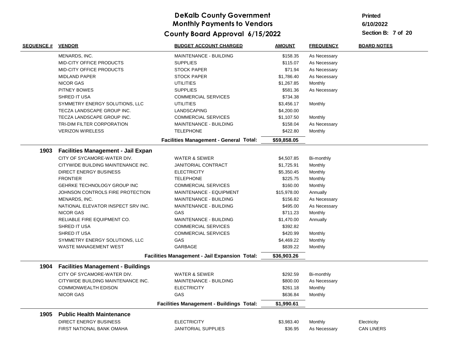**Printed**

**6/10/2022**

| <u>SEQUENCE #</u> | <u>VENDOR</u>                            | <b>BUDGET ACCOUNT CHARGED</b>                   | <u>AMOUNT</u> | <b>FREQUENCY</b> | <b>BOARD NOTES</b> |
|-------------------|------------------------------------------|-------------------------------------------------|---------------|------------------|--------------------|
|                   | MENARDS, INC.                            | MAINTENANCE - BUILDING                          | \$158.35      | As Necessary     |                    |
|                   | MID-CITY OFFICE PRODUCTS                 | <b>SUPPLIES</b>                                 | \$115.07      | As Necessary     |                    |
|                   | MID-CITY OFFICE PRODUCTS                 | <b>STOCK PAPER</b>                              | \$71.94       | As Necessary     |                    |
|                   | <b>MIDLAND PAPER</b>                     | <b>STOCK PAPER</b>                              | \$1,786.40    | As Necessary     |                    |
|                   | <b>NICOR GAS</b>                         | <b>UTILITIES</b>                                | \$1,267.85    | Monthly          |                    |
|                   | PITNEY BOWES                             | <b>SUPPLIES</b>                                 | \$581.36      | As Necessary     |                    |
|                   | SHRED IT USA                             | COMMERCIAL SERVICES                             | \$734.38      |                  |                    |
|                   | SYMMETRY ENERGY SOLUTIONS, LLC           | <b>UTILITIES</b>                                | \$3,456.17    | Monthly          |                    |
|                   | TECZA LANDSCAPE GROUP INC.               | LANDSCAPING                                     | \$4,200.00    |                  |                    |
|                   | TECZA LANDSCAPE GROUP INC.               | <b>COMMERCIAL SERVICES</b>                      | \$1,107.50    | Monthly          |                    |
|                   | TRI-DIM FILTER CORPORATION               | MAINTENANCE - BUILDING                          | \$158.04      | As Necessary     |                    |
|                   | <b>VERIZON WIRELESS</b>                  | <b>TELEPHONE</b>                                | \$422.80      | Monthly          |                    |
|                   |                                          | <b>Facilities Management - General Total:</b>   | \$59,858.05   |                  |                    |
| 1903              | Facilities Management - Jail Expan       |                                                 |               |                  |                    |
|                   | CITY OF SYCAMORE-WATER DIV.              | WATER & SEWER                                   | \$4,507.85    | Bi-monthly       |                    |
|                   | CITYWIDE BUILDING MAINTENANCE INC.       | <b>JANITORIAL CONTRACT</b>                      | \$1,725.91    | Monthly          |                    |
|                   | <b>DIRECT ENERGY BUSINESS</b>            | <b>ELECTRICITY</b>                              | \$5,350.45    | Monthly          |                    |
|                   | <b>FRONTIER</b>                          | <b>TELEPHONE</b>                                | \$225.75      | Monthly          |                    |
|                   | GEHRKE TECHNOLOGY GROUP INC              | <b>COMMERCIAL SERVICES</b>                      | \$160.00      | Monthly          |                    |
|                   | JOHNSON CONTROLS FIRE PROTECTION         | MAINTENANCE - EQUIPMENT                         | \$15,978.00   | Annually         |                    |
|                   | MENARDS, INC.                            | MAINTENANCE - BUILDING                          | \$156.82      | As Necessary     |                    |
|                   | NATIONAL ELEVATOR INSPECT SRV INC.       | MAINTENANCE - BUILDING                          | \$495.00      | As Necessary     |                    |
|                   | <b>NICOR GAS</b>                         | GAS                                             | \$711.23      | Monthly          |                    |
|                   | RELIABLE FIRE EQUIPMENT CO.              | MAINTENANCE - BUILDING                          | \$1,470.00    | Annually         |                    |
|                   | SHRED IT USA                             | <b>COMMERCIAL SERVICES</b>                      | \$392.82      |                  |                    |
|                   | SHRED IT USA                             | <b>COMMERCIAL SERVICES</b>                      | \$420.99      | Monthly          |                    |
|                   | SYMMETRY ENERGY SOLUTIONS, LLC           | <b>GAS</b>                                      | \$4,469.22    | Monthly          |                    |
|                   | WASTE MANAGEMENT WEST                    | GARBAGE                                         | \$839.22      | Monthly          |                    |
|                   |                                          | Facilities Management - Jail Expansion Total:   | \$36,903.26   |                  |                    |
| 1904              | <b>Facilities Management - Buildings</b> |                                                 |               |                  |                    |
|                   | CITY OF SYCAMORE-WATER DIV.              | WATER & SEWER                                   | \$292.59      | Bi-monthly       |                    |
|                   | CITYWIDE BUILDING MAINTENANCE INC.       | MAINTENANCE - BUILDING                          | \$800.00      | As Necessary     |                    |
|                   | <b>COMMONWEALTH EDISON</b>               | <b>ELECTRICITY</b>                              | \$261.18      | Monthly          |                    |
|                   | <b>NICOR GAS</b>                         | GAS                                             | \$636.84      | Monthly          |                    |
|                   |                                          | <b>Facilities Management - Buildings Total:</b> | \$1,990.61    |                  |                    |
| 1905              | <b>Public Health Maintenance</b>         |                                                 |               |                  |                    |
|                   | <b>DIRECT ENERGY BUSINESS</b>            | <b>ELECTRICITY</b>                              | \$3,983.40    | Monthly          | Electricity        |
|                   | FIRST NATIONAL BANK OMAHA                | <b>JANITORIAL SUPPLIES</b>                      | \$36.95       | As Necessary     | <b>CAN LINERS</b>  |
|                   |                                          |                                                 |               |                  |                    |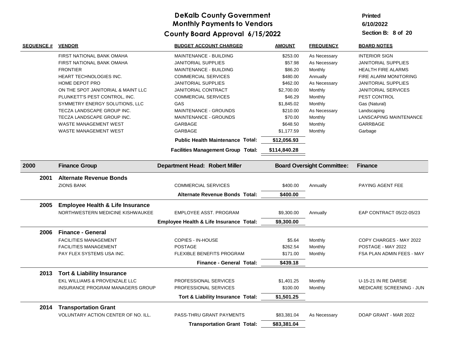#### **6/10/2022 Printed**

| <b>SEQUENCE #</b> | <b>VENDOR</b>                               | <b>BUDGET ACCOUNT CHARGED</b>             | <b>AMOUNT</b> | <b>FREQUENCY</b>                  | <b>BOARD NOTES</b>         |
|-------------------|---------------------------------------------|-------------------------------------------|---------------|-----------------------------------|----------------------------|
|                   | FIRST NATIONAL BANK OMAHA                   | MAINTENANCE - BUILDING                    | \$253.00      | As Necessary                      | <b>INTERIOR SIGN</b>       |
|                   | FIRST NATIONAL BANK OMAHA                   | <b>JANITORIAL SUPPLIES</b>                | \$57.98       | As Necessary                      | <b>JANITORIAL SUPPLIES</b> |
|                   | <b>FRONTIER</b>                             | MAINTENANCE - BUILDING                    | \$86.20       | Monthly                           | <b>HEALTH FIRE ALARMS</b>  |
|                   | <b>HEART TECHNOLOGIES INC.</b>              | <b>COMMERCIAL SERVICES</b>                | \$480.00      | Annually                          | FIRE ALARM MONITORING      |
|                   | HOME DEPOT PRO                              | <b>JANITORIAL SUPPLIES</b>                | \$462.00      | As Necessary                      | <b>JANITORIAL SUPPLIES</b> |
|                   | ON THE SPOT JANITORIAL & MAINT LLC          | JANITORIAL CONTRACT                       | \$2,700.00    | Monthly                           | JANITORIAL SERVICES        |
|                   | PLUNKETT'S PEST CONTROL, INC.               | <b>COMMERCIAL SERVICES</b>                | \$46.29       | Monthly                           | PEST CONTROL               |
|                   | SYMMETRY ENERGY SOLUTIONS, LLC              | GAS                                       | \$1,845.02    | Monthly                           | Gas (Natural)              |
|                   | TECZA LANDSCAPE GROUP INC.                  | MAINTENANCE - GROUNDS                     | \$210.00      | As Necessary                      | Landscaping                |
|                   | TECZA LANDSCAPE GROUP INC.                  | MAINTENANCE - GROUNDS                     | \$70.00       | Monthly                           | LANSCAPING MAINTENANCE     |
|                   | <b>WASTE MANAGEMENT WEST</b>                | GARBAGE                                   | \$648.50      | Monthly                           | <b>GARRBAGE</b>            |
|                   | <b>WASTE MANAGEMENT WEST</b>                | <b>GARBAGE</b>                            | \$1,177.59    | Monthly                           | Garbage                    |
|                   |                                             | <b>Public Health Maintenance Total:</b>   | \$12,056.93   |                                   |                            |
|                   |                                             | <b>Facilities Management Group Total:</b> | \$114,840.28  |                                   |                            |
| 2000              | <b>Finance Group</b>                        | <b>Department Head: Robert Miller</b>     |               | <b>Board Oversight Committee:</b> | <b>Finance</b>             |
| 2001              | <b>Alternate Revenue Bonds</b>              |                                           |               |                                   |                            |
|                   | <b>ZIONS BANK</b>                           | <b>COMMERCIAL SERVICES</b>                | \$400.00      | Annually                          | PAYING AGENT FEE           |
|                   |                                             | <b>Alternate Revenue Bonds Total:</b>     | \$400.00      |                                   |                            |
| 2005              | <b>Employee Health &amp; Life Insurance</b> |                                           |               |                                   |                            |
|                   | NORTHWESTERN MEDICINE KISHWAUKEE            | <b>EMPLOYEE ASST. PROGRAM</b>             | \$9,300.00    | Annually                          | EAP CONTRACT 05/22-05/23   |
|                   |                                             | Employee Health & Life Insurance Total:   | \$9,300.00    |                                   |                            |
| 2006              | <b>Finance - General</b>                    |                                           |               |                                   |                            |
|                   | <b>FACILITIES MANAGEMENT</b>                | COPIES - IN-HOUSE                         | \$5.64        | Monthly                           | COPY CHARGES - MAY 2022    |
|                   | <b>FACILITIES MANAGEMENT</b>                | <b>POSTAGE</b>                            | \$262.54      | Monthly                           | POSTAGE - MAY 2022         |
|                   | PAY FLEX SYSTEMS USA INC.                   | FLEXIBLE BENEFITS PROGRAM                 | \$171.00      | Monthly                           | FSA PLAN ADMIN FEES - MAY  |
|                   |                                             | <b>Finance - General Total:</b>           | \$439.18      |                                   |                            |
| 2013              | <b>Tort &amp; Liability Insurance</b>       |                                           |               |                                   |                            |
|                   | EKL WILLIAMS & PROVENZALE LLC               | PROFESSIONAL SERVICES                     | \$1,401.25    | Monthly                           | U-15-21 IN RE DARSIE       |
|                   | INSURANCE PROGRAM MANAGERS GROUP            | PROFESSIONAL SERVICES                     | \$100.00      | Monthly                           | MEDICARE SCREENING - JUN   |
|                   |                                             |                                           |               |                                   |                            |
|                   |                                             | Tort & Liability Insurance Total:         | \$1,501.25    |                                   |                            |
| 2014              | <b>Transportation Grant</b>                 |                                           |               |                                   |                            |
|                   | <b>VOLUNTARY ACTION CENTER OF NO. ILL.</b>  | PASS-THRU GRANT PAYMENTS                  | \$83,381.04   | As Necessary                      | DOAP GRANT - MAR 2022      |
|                   |                                             | <b>Transportation Grant Total:</b>        | \$83,381.04   |                                   |                            |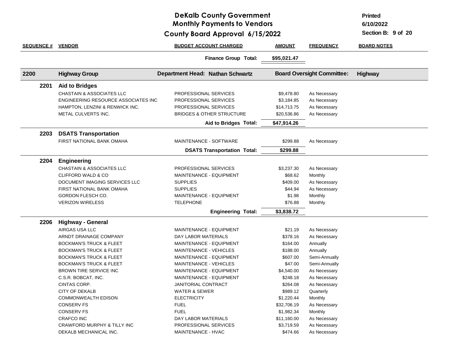### **DeKalb County Government Monthly Payments to Vendors**

**Printed**

**6/10/2022**

**6/15/2022 County Board Approval**

| <b>SEQUENCE #</b> | <b>VENDOR</b>                        | <b>BUDGET ACCOUNT CHARGED</b>        | <b>AMOUNT</b> | <b>FREQUENCY</b>                  | <b>BOARD NOTES</b> |
|-------------------|--------------------------------------|--------------------------------------|---------------|-----------------------------------|--------------------|
|                   |                                      | <b>Finance Group Total:</b>          | \$95,021.47   |                                   |                    |
| 2200              | <b>Highway Group</b>                 | Department Head: Nathan Schwartz     |               | <b>Board Oversight Committee:</b> | Highway            |
| 2201              | <b>Aid to Bridges</b>                |                                      |               |                                   |                    |
|                   | CHASTAIN & ASSOCIATES LLC            | PROFESSIONAL SERVICES                | \$9,478.80    | As Necessary                      |                    |
|                   | ENGINEERING RESOURCE ASSOCIATES INC  | PROFESSIONAL SERVICES                | \$3,184.85    | As Necessary                      |                    |
|                   | HAMPTON, LENZINI & RENWICK INC.      | PROFESSIONAL SERVICES                | \$14,713.75   | As Necessary                      |                    |
|                   | METAL CULVERTS INC.                  | <b>BRIDGES &amp; OTHER STRUCTURE</b> | \$20,536.86   | As Necessary                      |                    |
|                   |                                      | Aid to Bridges Total:                | \$47,914.26   |                                   |                    |
| 2203              | <b>DSATS Transportation</b>          |                                      |               |                                   |                    |
|                   | FIRST NATIONAL BANK OMAHA            | MAINTENANCE - SOFTWARE               | \$299.88      | As Necessary                      |                    |
|                   |                                      | <b>DSATS Transportation Total:</b>   | \$299.88      |                                   |                    |
| 2204              | <b>Engineering</b>                   |                                      |               |                                   |                    |
|                   | <b>CHASTAIN &amp; ASSOCIATES LLC</b> | PROFESSIONAL SERVICES                | \$3,237.30    | As Necessary                      |                    |
|                   | CLIFFORD WALD & CO                   | MAINTENANCE - EQUIPMENT              | \$68.62       | Monthly                           |                    |
|                   | DOCUMENT IMAGING SERVICES LLC        | <b>SUPPLIES</b>                      | \$409.00      | As Necessary                      |                    |
|                   | FIRST NATIONAL BANK OMAHA            | <b>SUPPLIES</b>                      | \$44.94       | As Necessary                      |                    |
|                   | GORDON FLESCH CO.                    | MAINTENANCE - EQUIPMENT              | \$1.98        | Monthly                           |                    |
|                   | <b>VERIZON WIRELESS</b>              | <b>TELEPHONE</b>                     | \$76.88       | Monthly                           |                    |
|                   |                                      | <b>Engineering Total:</b>            | \$3,838.72    |                                   |                    |
| 2206              | <b>Highway - General</b>             |                                      |               |                                   |                    |
|                   | AIRGAS USA LLC                       | MAINTENANCE - EQUIPMENT              | \$21.19       | As Necessary                      |                    |
|                   | ARNDT DRAINAGE COMPANY               | DAY LABOR MATERIALS                  | \$378.16      | As Necessary                      |                    |
|                   | <b>BOCKMAN'S TRUCK &amp; FLEET</b>   | MAINTENANCE - EQUIPMENT              | \$164.00      | Annually                          |                    |
|                   | <b>BOCKMAN'S TRUCK &amp; FLEET</b>   | MAINTENANCE - VEHICLES               | \$188.00      | Annually                          |                    |
|                   | <b>BOCKMAN'S TRUCK &amp; FLEET</b>   | MAINTENANCE - EQUIPMENT              | \$607.00      | Semi-Annually                     |                    |
|                   | <b>BOCKMAN'S TRUCK &amp; FLEET</b>   | <b>MAINTENANCE - VEHICLES</b>        | \$47.00       | Semi-Annually                     |                    |
|                   | <b>BROWN TIRE SERVICE INC</b>        | MAINTENANCE - EQUIPMENT              | \$4,540.00    | As Necessary                      |                    |
|                   | C.S.R. BOBCAT, INC.                  | MAINTENANCE - EQUIPMENT              | \$248.18      | As Necessary                      |                    |
|                   | CINTAS CORP.                         | <b>JANITORIAL CONTRACT</b>           | \$264.08      | As Necessary                      |                    |
|                   | <b>CITY OF DEKALB</b>                | <b>WATER &amp; SEWER</b>             | \$989.12      | Quarterly                         |                    |
|                   | <b>COMMONWEALTH EDISON</b>           | <b>ELECTRICITY</b>                   | \$1,220.44    | Monthly                           |                    |
|                   | <b>CONSERV FS</b>                    | <b>FUEL</b>                          | \$32,706.19   | As Necessary                      |                    |
|                   | <b>CONSERV FS</b>                    | <b>FUEL</b>                          | \$1,982.34    | Monthly                           |                    |
|                   | <b>CRAFCO INC</b>                    | DAY LABOR MATERIALS                  | \$11,160.00   | As Necessary                      |                    |
|                   | CRAWFORD MURPHY & TILLY INC          | <b>PROFESSIONAL SERVICES</b>         | \$3,719.59    | As Necessary                      |                    |
|                   | DEKALB MECHANICAL INC.               | <b>MAINTENANCE - HVAC</b>            | \$474.66      | As Necessary                      |                    |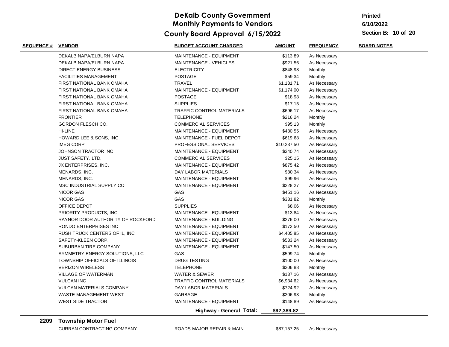**Printed**

**6/10/2022**

**10 of 20 Section B:**

| <b>SEQUENCE # VENDOR</b> |                                   | <b>BUDGET ACCOUNT CHARGED</b>    | <b>AMOUNT</b> | <b>FREQUENCY</b> | <b>BOARD NOTES</b> |
|--------------------------|-----------------------------------|----------------------------------|---------------|------------------|--------------------|
|                          | DEKALB NAPA/ELBURN NAPA           | MAINTENANCE - EQUIPMENT          | \$113.89      | As Necessary     |                    |
|                          | DEKALB NAPA/ELBURN NAPA           | <b>MAINTENANCE - VEHICLES</b>    | \$921.56      | As Necessary     |                    |
|                          | <b>DIRECT ENERGY BUSINESS</b>     | <b>ELECTRICITY</b>               | \$848.98      | Monthly          |                    |
|                          | <b>FACILITIES MANAGEMENT</b>      | <b>POSTAGE</b>                   | \$59.34       | Monthly          |                    |
|                          | <b>FIRST NATIONAL BANK OMAHA</b>  | <b>TRAVEL</b>                    | \$1,181.71    | As Necessary     |                    |
|                          | FIRST NATIONAL BANK OMAHA         | MAINTENANCE - EQUIPMENT          | \$1,174.00    | As Necessary     |                    |
|                          | FIRST NATIONAL BANK OMAHA         | <b>POSTAGE</b>                   | \$18.98       | As Necessary     |                    |
|                          | FIRST NATIONAL BANK OMAHA         | <b>SUPPLIES</b>                  | \$17.15       | As Necessary     |                    |
|                          | <b>FIRST NATIONAL BANK OMAHA</b>  | <b>TRAFFIC CONTROL MATERIALS</b> | \$696.17      | As Necessary     |                    |
|                          | <b>FRONTIER</b>                   | <b>TELEPHONE</b>                 | \$216.24      | Monthly          |                    |
|                          | GORDON FLESCH CO.                 | <b>COMMERCIAL SERVICES</b>       | \$95.13       | Monthly          |                    |
|                          | HI-LINE                           | MAINTENANCE - EQUIPMENT          | \$480.55      | As Necessary     |                    |
|                          | HOWARD LEE & SONS, INC.           | MAINTENANCE - FUEL DEPOT         | \$619.68      | As Necessary     |                    |
|                          | <b>IMEG CORP</b>                  | PROFESSIONAL SERVICES            | \$10,237.50   | As Necessary     |                    |
|                          | JOHNSON TRACTOR INC               | MAINTENANCE - EQUIPMENT          | \$240.74      | As Necessary     |                    |
|                          | <b>JUST SAFETY, LTD.</b>          | <b>COMMERCIAL SERVICES</b>       | \$25.15       | As Necessary     |                    |
|                          | JX ENTERPRISES, INC.              | MAINTENANCE - EQUIPMENT          | \$875.42      | As Necessary     |                    |
|                          | MENARDS, INC.                     | DAY LABOR MATERIALS              | \$80.34       | As Necessary     |                    |
|                          | MENARDS, INC.                     | MAINTENANCE - EQUIPMENT          | \$99.96       | As Necessary     |                    |
|                          | MSC INDUSTRIAL SUPPLY CO          | MAINTENANCE - EQUIPMENT          | \$228.27      | As Necessary     |                    |
|                          | <b>NICOR GAS</b>                  | GAS                              | \$451.16      | As Necessary     |                    |
|                          | <b>NICOR GAS</b>                  | GAS                              | \$381.82      | Monthly          |                    |
|                          | OFFICE DEPOT                      | <b>SUPPLIES</b>                  | \$8.06        | As Necessary     |                    |
|                          | PRIORITY PRODUCTS, INC.           | MAINTENANCE - EQUIPMENT          | \$13.84       | As Necessary     |                    |
|                          | RAYNOR DOOR AUTHORITY OF ROCKFORD | MAINTENANCE - BUILDING           | \$276.00      | As Necessary     |                    |
|                          | RONDO ENTERPRISES INC             | MAINTENANCE - EQUIPMENT          | \$172.50      | As Necessary     |                    |
|                          | RUSH TRUCK CENTERS OF IL, INC     | MAINTENANCE - EQUIPMENT          | \$4,405.85    | As Necessary     |                    |
|                          | SAFETY-KLEEN CORP.                | MAINTENANCE - EQUIPMENT          | \$533.24      | As Necessary     |                    |
|                          | SUBURBAN TIRE COMPANY             | MAINTENANCE - EQUIPMENT          | \$147.50      | As Necessary     |                    |
|                          | SYMMETRY ENERGY SOLUTIONS, LLC    | <b>GAS</b>                       | \$599.74      | Monthly          |                    |
|                          | TOWNSHIP OFFICIALS OF ILLINOIS    | <b>DRUG TESTING</b>              | \$100.00      | As Necessary     |                    |
|                          | <b>VERIZON WIRELESS</b>           | <b>TELEPHONE</b>                 | \$206.88      | Monthly          |                    |
|                          | <b>VILLAGE OF WATERMAN</b>        | <b>WATER &amp; SEWER</b>         | \$137.16      | As Necessary     |                    |
|                          | <b>VULCAN INC</b>                 | <b>TRAFFIC CONTROL MATERIALS</b> | \$6,934.62    | As Necessary     |                    |
|                          | <b>VULCAN MATERIALS COMPANY</b>   | DAY LABOR MATERIALS              | \$724.92      | As Necessary     |                    |
|                          | WASTE MANAGEMENT WEST             | GARBAGE                          | \$206.93      | Monthly          |                    |
|                          | <b>WEST SIDE TRACTOR</b>          | MAINTENANCE - EQUIPMENT          | \$148.89      | As Necessary     |                    |
|                          |                                   | Highway - General Total:         | \$92,389.82   |                  |                    |

#### **2209 Township Motor Fuel**

CURRAN CONTRACTING COMPANY ROADS-MAJOR REPAIR & MAIN \$87,157.25 As Necessary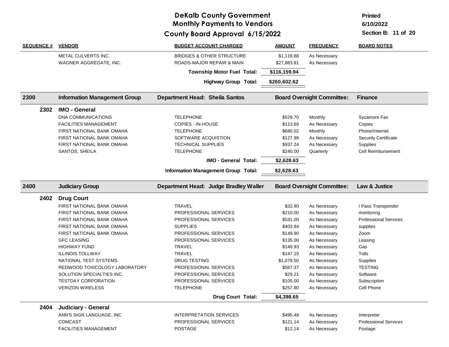**Printed**

**6/10/2022**

| <b>SEQUENCE #</b> | <b>VENDOR</b>                                   | <b>BUDGET ACCOUNT CHARGED</b>              | <b>AMOUNT</b>        | <b>FREQUENCY</b>                  | <b>BOARD NOTES</b>                          |
|-------------------|-------------------------------------------------|--------------------------------------------|----------------------|-----------------------------------|---------------------------------------------|
|                   | METAL CULVERTS INC.                             | <b>BRIDGES &amp; OTHER STRUCTURE</b>       | \$1,118.88           | As Necessary                      |                                             |
|                   | WAGNER AGGREGATE, INC.                          | ROADS-MAJOR REPAIR & MAIN                  | \$27,883.81          | As Necessary                      |                                             |
|                   |                                                 | <b>Township Motor Fuel Total:</b>          | \$116,159.94         |                                   |                                             |
|                   |                                                 | <b>Highway Group Total:</b>                | \$260,602.62         |                                   |                                             |
| 2300              | <b>Information Management Group</b>             | <b>Department Head: Sheila Santos</b>      |                      | <b>Board Oversight Committee:</b> | <b>Finance</b>                              |
| 2302              | <b>IMO - General</b>                            |                                            |                      |                                   |                                             |
|                   | <b>DNA COMMUNICATIONS</b>                       | <b>TELEPHONE</b>                           | \$529.70             | Monthly                           | Sycamore Fax                                |
|                   | <b>FACILITIES MANAGEMENT</b>                    | COPIES - IN-HOUSE                          | \$113.69             | As Necessary                      | Copies                                      |
|                   | FIRST NATIONAL BANK OMAHA                       | <b>TELEPHONE</b>                           | \$680.02             | Monthly                           | Phone/Internet                              |
|                   | FIRST NATIONAL BANK OMAHA                       | SOFTWARE ACQUISTION                        | \$127.98             | As Necessary                      | <b>Security Certificate</b>                 |
|                   | FIRST NATIONAL BANK OMAHA                       | <b>TECHNICAL SUPPLIES</b>                  | \$937.24             | As Necessary                      | Supplies                                    |
|                   | SANTOS, SHEILA                                  | <b>TELEPHONE</b>                           | \$240.00             | Quarterly                         | <b>Cell Reimbursement</b>                   |
|                   |                                                 | <b>IMO - General Total:</b>                | \$2,628.63           |                                   |                                             |
|                   |                                                 | <b>Information Management Group Total:</b> | \$2,628.63           |                                   |                                             |
|                   |                                                 |                                            |                      |                                   |                                             |
| 2400              | <b>Judiciary Group</b>                          | Department Head: Judge Bradley Waller      |                      | <b>Board Oversight Committee:</b> | Law & Justice                               |
|                   |                                                 |                                            |                      |                                   |                                             |
| 2402              | <b>Drug Court</b>                               |                                            |                      |                                   |                                             |
|                   | FIRST NATIONAL BANK OMAHA                       | <b>TRAVEL</b>                              | \$32.90              | As Necessary                      | I Pass Transponder                          |
|                   | FIRST NATIONAL BANK OMAHA                       | PROFESSIONAL SERVICES                      | \$210.00             | As Necessary                      | monitoring                                  |
|                   | FIRST NATIONAL BANK OMAHA                       | PROFESSIONAL SERVICES                      | \$531.00             | As Necessary                      | <b>Professional Services</b>                |
|                   | FIRST NATIONAL BANK OMAHA                       | <b>SUPPLIES</b>                            | \$403.94             | As Necessary                      | supplies                                    |
|                   | FIRST NATIONAL BANK OMAHA                       | PROFESSIONAL SERVICES                      | \$149.90             | As Necessary                      | Zoom                                        |
|                   | <b>GFC LEASING</b>                              | PROFESSIONAL SERVICES                      | \$135.00             | As Necessary                      | Leasing                                     |
|                   | <b>HIGHWAY FUND</b>                             | TRAVEL                                     | \$149.93             | As Necessary                      | Gas                                         |
|                   | <b>ILLINOIS TOLLWAY</b>                         | TRAVEL                                     | \$147.10             | As Necessary                      | Tolls                                       |
|                   | NATIONAL TEST SYSTEMS                           | <b>DRUG TESTING</b>                        | \$1,679.50           | As Necessary                      | <b>Supplies</b>                             |
|                   | REDWOOD TOXICOLOGY LABORATORY                   | PROFESSIONAL SERVICES                      | \$567.37             | As Necessary                      | <b>TESTING</b>                              |
|                   | SOLUTION SPECIALTIES INC.                       | PROFESSIONAL SERVICES                      | \$29.21              | As Necessary                      | Software                                    |
|                   | <b>TESTDAY CORPORATION</b>                      | PROFESSIONAL SERVICES                      | \$105.00             | As Necessary                      | Subscription                                |
|                   | <b>VERIZON WIRELESS</b>                         | <b>TELEPHONE</b>                           | \$257.80             | As Necessary                      | Cell Phone                                  |
|                   |                                                 | <b>Drug Court Total:</b>                   | \$4,398.65           |                                   |                                             |
| 2404              |                                                 |                                            |                      |                                   |                                             |
|                   | Judiciary - General<br>ANN'S SIGN LANGUAGE, INC | <b>INTERPRETATION SERVICES</b>             |                      |                                   |                                             |
|                   | <b>COMCAST</b>                                  | PROFESSIONAL SERVICES                      | \$495.48<br>\$121.14 | As Necessary<br>As Necessary      | Interpreter<br><b>Professional Services</b> |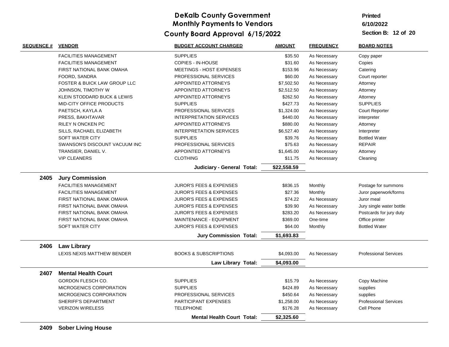**Printed**

**6/10/2022**

| <b>FACILITIES MANAGEMENT</b><br><b>SUPPLIES</b><br>\$35.50<br>As Necessary<br>Copy paper<br><b>FACILITIES MANAGEMENT</b><br><b>COPIES - IN-HOUSE</b><br>\$31.60<br>Copies<br>As Necessary<br>FIRST NATIONAL BANK OMAHA<br>MEETINGS - HOST EXPENSES<br>\$153.96<br>Catering<br>As Necessary<br>FOORD, SANDRA<br>PROFESSIONAL SERVICES<br>\$60.00<br>Court reporter<br>As Necessary<br><b>FOSTER &amp; BUICK LAW GROUP LLC</b><br><b>APPOINTED ATTORNEYS</b><br>\$7,502.50<br>As Necessary<br>Attorney<br>APPOINTED ATTORNEYS<br>JOHNSON, TIMOTHY W<br>\$2,512.50<br>As Necessary<br>Attorney<br>KLEIN STODDARD BUCK & LEWIS<br>APPOINTED ATTORNEYS<br>\$262.50<br>As Necessary<br>Attorney<br>MID-CITY OFFICE PRODUCTS<br>\$427.73<br><b>SUPPLIES</b><br><b>SUPPLIES</b><br>As Necessary<br>PROFESSIONAL SERVICES<br>\$1,324.00<br>PAETSCH, KAYLA A<br>As Necessary<br><b>Court Reporter</b><br>\$440.00<br>PRESS, BAKHTAVAR<br>INTERPRETATION SERVICES<br>As Necessary<br>interpreter<br>RILEY N ONCKEN PC<br><b>APPOINTED ATTORNEYS</b><br>\$880.00<br>As Necessary<br>Attorney<br><b>INTERPRETATION SERVICES</b><br>SILLS, RACHAEL ELIZABETH<br>\$6,527.40<br>As Necessary<br>Interpreter<br><b>SOFT WATER CITY</b><br><b>SUPPLIES</b><br>\$39.76<br><b>Bottled Water</b><br>As Necessary<br><b>REPAIR</b><br>SWANSON'S DISCOUNT VACUUM INC<br>PROFESSIONAL SERVICES<br>\$75.63<br>As Necessary<br>TRANSIER, DANIEL V.<br><b>APPOINTED ATTORNEYS</b><br>\$1,645.00<br>As Necessary<br>Attorney<br><b>VIP CLEANERS</b><br><b>CLOTHING</b><br>\$11.75<br>As Necessary<br>Cleaning<br>\$22,558.59<br>Judiciary - General Total:<br><b>Jury Commission</b><br>2405<br><b>FACILITIES MANAGEMENT</b><br>\$836.15<br>Monthly<br>Postage for summons<br><b>JUROR'S FEES &amp; EXPENSES</b><br><b>FACILITIES MANAGEMENT</b><br><b>JUROR'S FEES &amp; EXPENSES</b><br>\$27.36<br>Monthly<br>Juror paperwork/forms<br>FIRST NATIONAL BANK OMAHA<br><b>JUROR'S FEES &amp; EXPENSES</b><br>\$74.22<br>As Necessary<br>Juror meal<br>\$39.90<br>FIRST NATIONAL BANK OMAHA<br><b>JUROR'S FEES &amp; EXPENSES</b><br>As Necessary<br>Jury single water bottle<br><b>JUROR'S FEES &amp; EXPENSES</b><br>\$283.20<br>Postcards for jury duty<br>FIRST NATIONAL BANK OMAHA<br>As Necessary<br>MAINTENANCE - EQUIPMENT<br>\$369.00<br>FIRST NATIONAL BANK OMAHA<br>One-time<br>Office printer<br><b>SOFT WATER CITY</b><br><b>JUROR'S FEES &amp; EXPENSES</b><br>\$64.00<br>Monthly<br><b>Bottled Water</b><br>\$1,693.83<br><b>Jury Commission Total:</b><br><b>Law Library</b><br>2406<br>LEXIS NEXIS MATTHEW BENDER<br><b>BOOKS &amp; SUBSCRIPTIONS</b><br>\$4,093.00<br><b>Professional Services</b><br>As Necessary<br>\$4,093.00<br><b>Law Library Total:</b><br>2407<br><b>Mental Health Court</b><br>GORDON FLESCH CO.<br><b>SUPPLIES</b><br>\$15.79<br>Copy Machine<br>As Necessary<br>MICROGENICS CORPORATION<br><b>SUPPLIES</b><br>\$424.89<br>As Necessary<br>supplies<br>MICROGENICS CORPORATION<br>PROFESSIONAL SERVICES<br>\$450.64<br>supplies<br>As Necessary<br>SHERIFF'S DEPARTMENT<br>PARTICIPANT EXPENSES<br><b>Professional Services</b><br>\$1,258.00<br>As Necessary<br><b>VERIZON WIRELESS</b><br><b>TELEPHONE</b><br>Cell Phone<br>\$176.28<br>As Necessary<br>\$2,325.60<br><b>Mental Health Court Total:</b> | <b>SEQUENCE #</b> | <b>VENDOR</b> | <b>BUDGET ACCOUNT CHARGED</b> | <b>AMOUNT</b> | <b>FREQUENCY</b> | <b>BOARD NOTES</b> |
|------------------------------------------------------------------------------------------------------------------------------------------------------------------------------------------------------------------------------------------------------------------------------------------------------------------------------------------------------------------------------------------------------------------------------------------------------------------------------------------------------------------------------------------------------------------------------------------------------------------------------------------------------------------------------------------------------------------------------------------------------------------------------------------------------------------------------------------------------------------------------------------------------------------------------------------------------------------------------------------------------------------------------------------------------------------------------------------------------------------------------------------------------------------------------------------------------------------------------------------------------------------------------------------------------------------------------------------------------------------------------------------------------------------------------------------------------------------------------------------------------------------------------------------------------------------------------------------------------------------------------------------------------------------------------------------------------------------------------------------------------------------------------------------------------------------------------------------------------------------------------------------------------------------------------------------------------------------------------------------------------------------------------------------------------------------------------------------------------------------------------------------------------------------------------------------------------------------------------------------------------------------------------------------------------------------------------------------------------------------------------------------------------------------------------------------------------------------------------------------------------------------------------------------------------------------------------------------------------------------------------------------------------------------------------------------------------------------------------------------------------------------------------------------------------------------------------------------------------------------------------------------------------------------------------------------------------------------------------------------------------------------------------------------------------------------------------------------------------------------------------------------------------------------------------------------------------------------------------------------------------------------------------------------------------------------------|-------------------|---------------|-------------------------------|---------------|------------------|--------------------|
|                                                                                                                                                                                                                                                                                                                                                                                                                                                                                                                                                                                                                                                                                                                                                                                                                                                                                                                                                                                                                                                                                                                                                                                                                                                                                                                                                                                                                                                                                                                                                                                                                                                                                                                                                                                                                                                                                                                                                                                                                                                                                                                                                                                                                                                                                                                                                                                                                                                                                                                                                                                                                                                                                                                                                                                                                                                                                                                                                                                                                                                                                                                                                                                                                                                                                                                        |                   |               |                               |               |                  |                    |
|                                                                                                                                                                                                                                                                                                                                                                                                                                                                                                                                                                                                                                                                                                                                                                                                                                                                                                                                                                                                                                                                                                                                                                                                                                                                                                                                                                                                                                                                                                                                                                                                                                                                                                                                                                                                                                                                                                                                                                                                                                                                                                                                                                                                                                                                                                                                                                                                                                                                                                                                                                                                                                                                                                                                                                                                                                                                                                                                                                                                                                                                                                                                                                                                                                                                                                                        |                   |               |                               |               |                  |                    |
|                                                                                                                                                                                                                                                                                                                                                                                                                                                                                                                                                                                                                                                                                                                                                                                                                                                                                                                                                                                                                                                                                                                                                                                                                                                                                                                                                                                                                                                                                                                                                                                                                                                                                                                                                                                                                                                                                                                                                                                                                                                                                                                                                                                                                                                                                                                                                                                                                                                                                                                                                                                                                                                                                                                                                                                                                                                                                                                                                                                                                                                                                                                                                                                                                                                                                                                        |                   |               |                               |               |                  |                    |
|                                                                                                                                                                                                                                                                                                                                                                                                                                                                                                                                                                                                                                                                                                                                                                                                                                                                                                                                                                                                                                                                                                                                                                                                                                                                                                                                                                                                                                                                                                                                                                                                                                                                                                                                                                                                                                                                                                                                                                                                                                                                                                                                                                                                                                                                                                                                                                                                                                                                                                                                                                                                                                                                                                                                                                                                                                                                                                                                                                                                                                                                                                                                                                                                                                                                                                                        |                   |               |                               |               |                  |                    |
|                                                                                                                                                                                                                                                                                                                                                                                                                                                                                                                                                                                                                                                                                                                                                                                                                                                                                                                                                                                                                                                                                                                                                                                                                                                                                                                                                                                                                                                                                                                                                                                                                                                                                                                                                                                                                                                                                                                                                                                                                                                                                                                                                                                                                                                                                                                                                                                                                                                                                                                                                                                                                                                                                                                                                                                                                                                                                                                                                                                                                                                                                                                                                                                                                                                                                                                        |                   |               |                               |               |                  |                    |
|                                                                                                                                                                                                                                                                                                                                                                                                                                                                                                                                                                                                                                                                                                                                                                                                                                                                                                                                                                                                                                                                                                                                                                                                                                                                                                                                                                                                                                                                                                                                                                                                                                                                                                                                                                                                                                                                                                                                                                                                                                                                                                                                                                                                                                                                                                                                                                                                                                                                                                                                                                                                                                                                                                                                                                                                                                                                                                                                                                                                                                                                                                                                                                                                                                                                                                                        |                   |               |                               |               |                  |                    |
|                                                                                                                                                                                                                                                                                                                                                                                                                                                                                                                                                                                                                                                                                                                                                                                                                                                                                                                                                                                                                                                                                                                                                                                                                                                                                                                                                                                                                                                                                                                                                                                                                                                                                                                                                                                                                                                                                                                                                                                                                                                                                                                                                                                                                                                                                                                                                                                                                                                                                                                                                                                                                                                                                                                                                                                                                                                                                                                                                                                                                                                                                                                                                                                                                                                                                                                        |                   |               |                               |               |                  |                    |
|                                                                                                                                                                                                                                                                                                                                                                                                                                                                                                                                                                                                                                                                                                                                                                                                                                                                                                                                                                                                                                                                                                                                                                                                                                                                                                                                                                                                                                                                                                                                                                                                                                                                                                                                                                                                                                                                                                                                                                                                                                                                                                                                                                                                                                                                                                                                                                                                                                                                                                                                                                                                                                                                                                                                                                                                                                                                                                                                                                                                                                                                                                                                                                                                                                                                                                                        |                   |               |                               |               |                  |                    |
|                                                                                                                                                                                                                                                                                                                                                                                                                                                                                                                                                                                                                                                                                                                                                                                                                                                                                                                                                                                                                                                                                                                                                                                                                                                                                                                                                                                                                                                                                                                                                                                                                                                                                                                                                                                                                                                                                                                                                                                                                                                                                                                                                                                                                                                                                                                                                                                                                                                                                                                                                                                                                                                                                                                                                                                                                                                                                                                                                                                                                                                                                                                                                                                                                                                                                                                        |                   |               |                               |               |                  |                    |
|                                                                                                                                                                                                                                                                                                                                                                                                                                                                                                                                                                                                                                                                                                                                                                                                                                                                                                                                                                                                                                                                                                                                                                                                                                                                                                                                                                                                                                                                                                                                                                                                                                                                                                                                                                                                                                                                                                                                                                                                                                                                                                                                                                                                                                                                                                                                                                                                                                                                                                                                                                                                                                                                                                                                                                                                                                                                                                                                                                                                                                                                                                                                                                                                                                                                                                                        |                   |               |                               |               |                  |                    |
|                                                                                                                                                                                                                                                                                                                                                                                                                                                                                                                                                                                                                                                                                                                                                                                                                                                                                                                                                                                                                                                                                                                                                                                                                                                                                                                                                                                                                                                                                                                                                                                                                                                                                                                                                                                                                                                                                                                                                                                                                                                                                                                                                                                                                                                                                                                                                                                                                                                                                                                                                                                                                                                                                                                                                                                                                                                                                                                                                                                                                                                                                                                                                                                                                                                                                                                        |                   |               |                               |               |                  |                    |
|                                                                                                                                                                                                                                                                                                                                                                                                                                                                                                                                                                                                                                                                                                                                                                                                                                                                                                                                                                                                                                                                                                                                                                                                                                                                                                                                                                                                                                                                                                                                                                                                                                                                                                                                                                                                                                                                                                                                                                                                                                                                                                                                                                                                                                                                                                                                                                                                                                                                                                                                                                                                                                                                                                                                                                                                                                                                                                                                                                                                                                                                                                                                                                                                                                                                                                                        |                   |               |                               |               |                  |                    |
|                                                                                                                                                                                                                                                                                                                                                                                                                                                                                                                                                                                                                                                                                                                                                                                                                                                                                                                                                                                                                                                                                                                                                                                                                                                                                                                                                                                                                                                                                                                                                                                                                                                                                                                                                                                                                                                                                                                                                                                                                                                                                                                                                                                                                                                                                                                                                                                                                                                                                                                                                                                                                                                                                                                                                                                                                                                                                                                                                                                                                                                                                                                                                                                                                                                                                                                        |                   |               |                               |               |                  |                    |
|                                                                                                                                                                                                                                                                                                                                                                                                                                                                                                                                                                                                                                                                                                                                                                                                                                                                                                                                                                                                                                                                                                                                                                                                                                                                                                                                                                                                                                                                                                                                                                                                                                                                                                                                                                                                                                                                                                                                                                                                                                                                                                                                                                                                                                                                                                                                                                                                                                                                                                                                                                                                                                                                                                                                                                                                                                                                                                                                                                                                                                                                                                                                                                                                                                                                                                                        |                   |               |                               |               |                  |                    |
|                                                                                                                                                                                                                                                                                                                                                                                                                                                                                                                                                                                                                                                                                                                                                                                                                                                                                                                                                                                                                                                                                                                                                                                                                                                                                                                                                                                                                                                                                                                                                                                                                                                                                                                                                                                                                                                                                                                                                                                                                                                                                                                                                                                                                                                                                                                                                                                                                                                                                                                                                                                                                                                                                                                                                                                                                                                                                                                                                                                                                                                                                                                                                                                                                                                                                                                        |                   |               |                               |               |                  |                    |
|                                                                                                                                                                                                                                                                                                                                                                                                                                                                                                                                                                                                                                                                                                                                                                                                                                                                                                                                                                                                                                                                                                                                                                                                                                                                                                                                                                                                                                                                                                                                                                                                                                                                                                                                                                                                                                                                                                                                                                                                                                                                                                                                                                                                                                                                                                                                                                                                                                                                                                                                                                                                                                                                                                                                                                                                                                                                                                                                                                                                                                                                                                                                                                                                                                                                                                                        |                   |               |                               |               |                  |                    |
|                                                                                                                                                                                                                                                                                                                                                                                                                                                                                                                                                                                                                                                                                                                                                                                                                                                                                                                                                                                                                                                                                                                                                                                                                                                                                                                                                                                                                                                                                                                                                                                                                                                                                                                                                                                                                                                                                                                                                                                                                                                                                                                                                                                                                                                                                                                                                                                                                                                                                                                                                                                                                                                                                                                                                                                                                                                                                                                                                                                                                                                                                                                                                                                                                                                                                                                        |                   |               |                               |               |                  |                    |
|                                                                                                                                                                                                                                                                                                                                                                                                                                                                                                                                                                                                                                                                                                                                                                                                                                                                                                                                                                                                                                                                                                                                                                                                                                                                                                                                                                                                                                                                                                                                                                                                                                                                                                                                                                                                                                                                                                                                                                                                                                                                                                                                                                                                                                                                                                                                                                                                                                                                                                                                                                                                                                                                                                                                                                                                                                                                                                                                                                                                                                                                                                                                                                                                                                                                                                                        |                   |               |                               |               |                  |                    |
|                                                                                                                                                                                                                                                                                                                                                                                                                                                                                                                                                                                                                                                                                                                                                                                                                                                                                                                                                                                                                                                                                                                                                                                                                                                                                                                                                                                                                                                                                                                                                                                                                                                                                                                                                                                                                                                                                                                                                                                                                                                                                                                                                                                                                                                                                                                                                                                                                                                                                                                                                                                                                                                                                                                                                                                                                                                                                                                                                                                                                                                                                                                                                                                                                                                                                                                        |                   |               |                               |               |                  |                    |
|                                                                                                                                                                                                                                                                                                                                                                                                                                                                                                                                                                                                                                                                                                                                                                                                                                                                                                                                                                                                                                                                                                                                                                                                                                                                                                                                                                                                                                                                                                                                                                                                                                                                                                                                                                                                                                                                                                                                                                                                                                                                                                                                                                                                                                                                                                                                                                                                                                                                                                                                                                                                                                                                                                                                                                                                                                                                                                                                                                                                                                                                                                                                                                                                                                                                                                                        |                   |               |                               |               |                  |                    |
|                                                                                                                                                                                                                                                                                                                                                                                                                                                                                                                                                                                                                                                                                                                                                                                                                                                                                                                                                                                                                                                                                                                                                                                                                                                                                                                                                                                                                                                                                                                                                                                                                                                                                                                                                                                                                                                                                                                                                                                                                                                                                                                                                                                                                                                                                                                                                                                                                                                                                                                                                                                                                                                                                                                                                                                                                                                                                                                                                                                                                                                                                                                                                                                                                                                                                                                        |                   |               |                               |               |                  |                    |
|                                                                                                                                                                                                                                                                                                                                                                                                                                                                                                                                                                                                                                                                                                                                                                                                                                                                                                                                                                                                                                                                                                                                                                                                                                                                                                                                                                                                                                                                                                                                                                                                                                                                                                                                                                                                                                                                                                                                                                                                                                                                                                                                                                                                                                                                                                                                                                                                                                                                                                                                                                                                                                                                                                                                                                                                                                                                                                                                                                                                                                                                                                                                                                                                                                                                                                                        |                   |               |                               |               |                  |                    |
|                                                                                                                                                                                                                                                                                                                                                                                                                                                                                                                                                                                                                                                                                                                                                                                                                                                                                                                                                                                                                                                                                                                                                                                                                                                                                                                                                                                                                                                                                                                                                                                                                                                                                                                                                                                                                                                                                                                                                                                                                                                                                                                                                                                                                                                                                                                                                                                                                                                                                                                                                                                                                                                                                                                                                                                                                                                                                                                                                                                                                                                                                                                                                                                                                                                                                                                        |                   |               |                               |               |                  |                    |
|                                                                                                                                                                                                                                                                                                                                                                                                                                                                                                                                                                                                                                                                                                                                                                                                                                                                                                                                                                                                                                                                                                                                                                                                                                                                                                                                                                                                                                                                                                                                                                                                                                                                                                                                                                                                                                                                                                                                                                                                                                                                                                                                                                                                                                                                                                                                                                                                                                                                                                                                                                                                                                                                                                                                                                                                                                                                                                                                                                                                                                                                                                                                                                                                                                                                                                                        |                   |               |                               |               |                  |                    |
|                                                                                                                                                                                                                                                                                                                                                                                                                                                                                                                                                                                                                                                                                                                                                                                                                                                                                                                                                                                                                                                                                                                                                                                                                                                                                                                                                                                                                                                                                                                                                                                                                                                                                                                                                                                                                                                                                                                                                                                                                                                                                                                                                                                                                                                                                                                                                                                                                                                                                                                                                                                                                                                                                                                                                                                                                                                                                                                                                                                                                                                                                                                                                                                                                                                                                                                        |                   |               |                               |               |                  |                    |
|                                                                                                                                                                                                                                                                                                                                                                                                                                                                                                                                                                                                                                                                                                                                                                                                                                                                                                                                                                                                                                                                                                                                                                                                                                                                                                                                                                                                                                                                                                                                                                                                                                                                                                                                                                                                                                                                                                                                                                                                                                                                                                                                                                                                                                                                                                                                                                                                                                                                                                                                                                                                                                                                                                                                                                                                                                                                                                                                                                                                                                                                                                                                                                                                                                                                                                                        |                   |               |                               |               |                  |                    |
|                                                                                                                                                                                                                                                                                                                                                                                                                                                                                                                                                                                                                                                                                                                                                                                                                                                                                                                                                                                                                                                                                                                                                                                                                                                                                                                                                                                                                                                                                                                                                                                                                                                                                                                                                                                                                                                                                                                                                                                                                                                                                                                                                                                                                                                                                                                                                                                                                                                                                                                                                                                                                                                                                                                                                                                                                                                                                                                                                                                                                                                                                                                                                                                                                                                                                                                        |                   |               |                               |               |                  |                    |
|                                                                                                                                                                                                                                                                                                                                                                                                                                                                                                                                                                                                                                                                                                                                                                                                                                                                                                                                                                                                                                                                                                                                                                                                                                                                                                                                                                                                                                                                                                                                                                                                                                                                                                                                                                                                                                                                                                                                                                                                                                                                                                                                                                                                                                                                                                                                                                                                                                                                                                                                                                                                                                                                                                                                                                                                                                                                                                                                                                                                                                                                                                                                                                                                                                                                                                                        |                   |               |                               |               |                  |                    |
|                                                                                                                                                                                                                                                                                                                                                                                                                                                                                                                                                                                                                                                                                                                                                                                                                                                                                                                                                                                                                                                                                                                                                                                                                                                                                                                                                                                                                                                                                                                                                                                                                                                                                                                                                                                                                                                                                                                                                                                                                                                                                                                                                                                                                                                                                                                                                                                                                                                                                                                                                                                                                                                                                                                                                                                                                                                                                                                                                                                                                                                                                                                                                                                                                                                                                                                        |                   |               |                               |               |                  |                    |
|                                                                                                                                                                                                                                                                                                                                                                                                                                                                                                                                                                                                                                                                                                                                                                                                                                                                                                                                                                                                                                                                                                                                                                                                                                                                                                                                                                                                                                                                                                                                                                                                                                                                                                                                                                                                                                                                                                                                                                                                                                                                                                                                                                                                                                                                                                                                                                                                                                                                                                                                                                                                                                                                                                                                                                                                                                                                                                                                                                                                                                                                                                                                                                                                                                                                                                                        |                   |               |                               |               |                  |                    |
|                                                                                                                                                                                                                                                                                                                                                                                                                                                                                                                                                                                                                                                                                                                                                                                                                                                                                                                                                                                                                                                                                                                                                                                                                                                                                                                                                                                                                                                                                                                                                                                                                                                                                                                                                                                                                                                                                                                                                                                                                                                                                                                                                                                                                                                                                                                                                                                                                                                                                                                                                                                                                                                                                                                                                                                                                                                                                                                                                                                                                                                                                                                                                                                                                                                                                                                        |                   |               |                               |               |                  |                    |
|                                                                                                                                                                                                                                                                                                                                                                                                                                                                                                                                                                                                                                                                                                                                                                                                                                                                                                                                                                                                                                                                                                                                                                                                                                                                                                                                                                                                                                                                                                                                                                                                                                                                                                                                                                                                                                                                                                                                                                                                                                                                                                                                                                                                                                                                                                                                                                                                                                                                                                                                                                                                                                                                                                                                                                                                                                                                                                                                                                                                                                                                                                                                                                                                                                                                                                                        |                   |               |                               |               |                  |                    |
|                                                                                                                                                                                                                                                                                                                                                                                                                                                                                                                                                                                                                                                                                                                                                                                                                                                                                                                                                                                                                                                                                                                                                                                                                                                                                                                                                                                                                                                                                                                                                                                                                                                                                                                                                                                                                                                                                                                                                                                                                                                                                                                                                                                                                                                                                                                                                                                                                                                                                                                                                                                                                                                                                                                                                                                                                                                                                                                                                                                                                                                                                                                                                                                                                                                                                                                        |                   |               |                               |               |                  |                    |
|                                                                                                                                                                                                                                                                                                                                                                                                                                                                                                                                                                                                                                                                                                                                                                                                                                                                                                                                                                                                                                                                                                                                                                                                                                                                                                                                                                                                                                                                                                                                                                                                                                                                                                                                                                                                                                                                                                                                                                                                                                                                                                                                                                                                                                                                                                                                                                                                                                                                                                                                                                                                                                                                                                                                                                                                                                                                                                                                                                                                                                                                                                                                                                                                                                                                                                                        |                   |               |                               |               |                  |                    |
|                                                                                                                                                                                                                                                                                                                                                                                                                                                                                                                                                                                                                                                                                                                                                                                                                                                                                                                                                                                                                                                                                                                                                                                                                                                                                                                                                                                                                                                                                                                                                                                                                                                                                                                                                                                                                                                                                                                                                                                                                                                                                                                                                                                                                                                                                                                                                                                                                                                                                                                                                                                                                                                                                                                                                                                                                                                                                                                                                                                                                                                                                                                                                                                                                                                                                                                        |                   |               |                               |               |                  |                    |
|                                                                                                                                                                                                                                                                                                                                                                                                                                                                                                                                                                                                                                                                                                                                                                                                                                                                                                                                                                                                                                                                                                                                                                                                                                                                                                                                                                                                                                                                                                                                                                                                                                                                                                                                                                                                                                                                                                                                                                                                                                                                                                                                                                                                                                                                                                                                                                                                                                                                                                                                                                                                                                                                                                                                                                                                                                                                                                                                                                                                                                                                                                                                                                                                                                                                                                                        |                   |               |                               |               |                  |                    |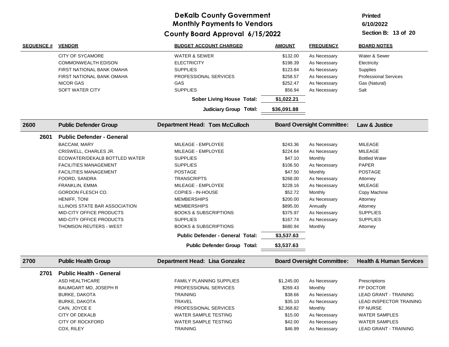**Printed**

**6/10/2022**

| <b>SEQUENCE #</b> | <b>VENDOR</b>                    | <b>BUDGET ACCOUNT CHARGED</b>           | <b>AMOUNT</b> | <b>FREQUENCY</b>                  | <b>BOARD NOTES</b>                 |
|-------------------|----------------------------------|-----------------------------------------|---------------|-----------------------------------|------------------------------------|
|                   | <b>CITY OF SYCAMORE</b>          | <b>WATER &amp; SEWER</b>                | \$132.00      | As Necessary                      | Water & Sewer                      |
|                   | <b>COMMONWEALTH EDISON</b>       | <b>ELECTRICITY</b>                      | \$198.39      | As Necessary                      | Electricity                        |
|                   | FIRST NATIONAL BANK OMAHA        | <b>SUPPLIES</b>                         | \$123.84      | As Necessary                      | Supplies                           |
|                   | FIRST NATIONAL BANK OMAHA        | PROFESSIONAL SERVICES                   | \$258.57      | As Necessary                      | <b>Professional Services</b>       |
|                   | <b>NICOR GAS</b>                 | GAS                                     | \$252.47      | As Necessary                      | Gas (Natural)                      |
|                   | SOFT WATER CITY                  | <b>SUPPLIES</b>                         | \$56.94       | As Necessary                      | Salt                               |
|                   |                                  | <b>Sober Living House Total:</b>        | \$1,022.21    |                                   |                                    |
|                   |                                  | <b>Judiciary Group Total:</b>           | \$36,091.88   |                                   |                                    |
| 2600              | <b>Public Defender Group</b>     | <b>Department Head: Tom McCulloch</b>   |               | <b>Board Oversight Committee:</b> | Law & Justice                      |
| 2601              | <b>Public Defender - General</b> |                                         |               |                                   |                                    |
|                   | BACCAM, MARY                     | MILEAGE - EMPLOYEE                      | \$243.36      | As Necessary                      | <b>MILEAGE</b>                     |
|                   | CRISWELL, CHARLES JR.            | MILEAGE - EMPLOYEE                      | \$224.64      | As Necessary                      | <b>MILEAGE</b>                     |
|                   | ECOWATER/DEKALB BOTTLED WATER    | <b>SUPPLIES</b>                         | \$47.10       | Monthly                           | <b>Bottled Water</b>               |
|                   | <b>FACILITIES MANAGEMENT</b>     | <b>SUPPLIES</b>                         | \$106.50      | As Necessary                      | <b>PAPER</b>                       |
|                   | <b>FACILITIES MANAGEMENT</b>     | <b>POSTAGE</b>                          | \$47.50       | Monthly                           | <b>POSTAGE</b>                     |
|                   | FOORD, SANDRA                    | <b>TRANSCRIPTS</b>                      | \$268.00      | As Necessary                      | Attorney                           |
|                   | <b>FRANKLIN, EMMA</b>            | MILEAGE - EMPLOYEE                      | \$228.16      | As Necessary                      | <b>MILEAGE</b>                     |
|                   | GORDON FLESCH CO.                | <b>COPIES - IN-HOUSE</b>                | \$52.72       | Monthly                           | Copy Machine                       |
|                   | HENIFF, TONI                     | <b>MEMBERSHIPS</b>                      | \$200.00      | As Necessary                      | Attorney                           |
|                   | ILLINOIS STATE BAR ASSOCIATION   | <b>MEMBERSHIPS</b>                      | \$895.00      | Annually                          | Attorney                           |
|                   | <b>MID-CITY OFFICE PRODUCTS</b>  | <b>BOOKS &amp; SUBSCRIPTIONS</b>        | \$375.97      | As Necessary                      | <b>SUPPLIES</b>                    |
|                   | MID-CITY OFFICE PRODUCTS         | <b>SUPPLIES</b>                         | \$167.74      | As Necessary                      | <b>SUPPLIES</b>                    |
|                   | THOMSON REUTERS - WEST           | <b>BOOKS &amp; SUBSCRIPTIONS</b>        | \$680.94      | Monthly                           | Attorney                           |
|                   |                                  | <b>Public Defender - General Total:</b> | \$3,537.63    |                                   |                                    |
|                   |                                  | Public Defender Group Total:            | \$3,537.63    |                                   |                                    |
| 2700              | <b>Public Health Group</b>       | Department Head: Lisa Gonzalez          |               | <b>Board Oversight Committee:</b> | <b>Health &amp; Human Services</b> |
| 2701              | <b>Public Health - General</b>   |                                         |               |                                   |                                    |
|                   | ASD HEALTHCARE                   | <b>FAMILY PLANNING SUPPLIES</b>         | \$1,245.00    | As Necessary                      | Prescriptions                      |
|                   | BAUMGART MD, JOSEPH R            | <b>PROFESSIONAL SERVICES</b>            | \$269.43      | Monthly                           | FP DOCTOR                          |
|                   | <b>BURKE, DAKOTA</b>             | <b>TRAINING</b>                         | \$38.66       | As Necessary                      | <b>LEAD GRANT - TRAINING</b>       |
|                   | <b>BURKE, DAKOTA</b>             | <b>TRAVEL</b>                           | \$35.10       | As Necessary                      | LEAD INSPECTOR TRAINING            |
|                   | CAIN, JOYCE E                    | PROFESSIONAL SERVICES                   | \$2,368.82    | Monthly                           | <b>FP NURSE</b>                    |
|                   | <b>CITY OF DEKALB</b>            | <b>WATER SAMPLE TESTING</b>             | \$15.00       | As Necessary                      | <b>WATER SAMPLES</b>               |
|                   | <b>CITY OF ROCKFORD</b>          | WATER SAMPLE TESTING                    | \$42.00       | As Necessary                      | <b>WATER SAMPLES</b>               |
|                   | COX, RILEY                       | <b>TRAINING</b>                         | \$46.99       | As Necessary                      | <b>LEAD GRANT - TRAINING</b>       |
|                   |                                  |                                         |               |                                   |                                    |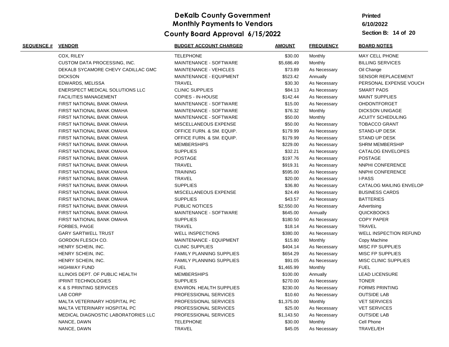# **Printed**

**6/10/2022**

| <b>SEQUENCE # VENDOR</b> |                                     | <b>BUDGET ACCOUNT CHARGED</b>   | <b>AMOUNT</b> | <b>FREQUENCY</b> | <b>BOARD NOTES</b>            |
|--------------------------|-------------------------------------|---------------------------------|---------------|------------------|-------------------------------|
|                          | COX, RILEY                          | <b>TELEPHONE</b>                | \$30.00       | Monthly          | MAY CELL PHONE                |
|                          | <b>CUSTOM DATA PROCESSING, INC.</b> | MAINTENANCE - SOFTWARE          | \$5,686.49    | Monthly          | <b>BILLING SERVICES</b>       |
|                          | DEKALB SYCAMORE CHEVY CADILLAC GMC  | MAINTENANCE - VEHICLES          | \$73.89       | As Necessary     | Oil Change                    |
|                          | <b>DICKSON</b>                      | MAINTENANCE - EQUIPMENT         | \$523.42      | Annually         | SENSOR REPLACEMENT            |
|                          | EDWARDS, MELISSA                    | <b>TRAVEL</b>                   | \$30.30       | As Necessary     | PERSONAL EXPENSE VOUCH        |
|                          | ENERSPECT MEDICAL SOLUTIONS LLC     | <b>CLINIC SUPPLIES</b>          | \$84.13       | As Necessary     | <b>SMART PADS</b>             |
|                          | <b>FACILITIES MANAGEMENT</b>        | COPIES - IN-HOUSE               | \$142.44      | As Necessary     | <b>MAINT SUPPLIES</b>         |
|                          | FIRST NATIONAL BANK OMAHA           | MAINTENANCE - SOFTWARE          | \$15.00       | As Necessary     | OHDONTFORGET                  |
|                          | FIRST NATIONAL BANK OMAHA           | MAINTENANCE - SOFTWARE          | \$76.32       | Monthly          | <b>DICKSON UNIGAGE</b>        |
|                          | FIRST NATIONAL BANK OMAHA           | MAINTENANCE - SOFTWARE          | \$50.00       | Monthly          | <b>ACUITY SCHEDULING</b>      |
|                          | FIRST NATIONAL BANK OMAHA           | MISCELLANEOUS EXPENSE           | \$50.00       | As Necessary     | <b>TOBACCO GRANT</b>          |
|                          | FIRST NATIONAL BANK OMAHA           | OFFICE FURN. & SM. EQUIP.       | \$179.99      | As Necessary     | <b>STAND-UP DESK</b>          |
|                          | FIRST NATIONAL BANK OMAHA           | OFFICE FURN. & SM. EQUIP.       | \$179.99      | As Necessary     | <b>STAND UP DESK</b>          |
|                          | FIRST NATIONAL BANK OMAHA           | <b>MEMBERSHIPS</b>              | \$229.00      | As Necessary     | <b>SHRM MEMBERSHIP</b>        |
|                          | FIRST NATIONAL BANK OMAHA           | <b>SUPPLIES</b>                 | \$32.21       | As Necessary     | CATALOG ENVELOPES             |
|                          | FIRST NATIONAL BANK OMAHA           | <b>POSTAGE</b>                  | \$197.76      | As Necessary     | <b>POSTAGE</b>                |
|                          | FIRST NATIONAL BANK OMAHA           | <b>TRAVEL</b>                   | \$919.31      | As Necessary     | NNPHI CONFERENCE              |
|                          | FIRST NATIONAL BANK OMAHA           | <b>TRAINING</b>                 | \$595.00      | As Necessary     | NNPHI CONFERENCE              |
|                          | FIRST NATIONAL BANK OMAHA           | <b>TRAVEL</b>                   | \$20.00       | As Necessary     | <b>I-PASS</b>                 |
|                          | FIRST NATIONAL BANK OMAHA           | <b>SUPPLIES</b>                 | \$36.80       | As Necessary     | CATALOG MAILING ENVELOP       |
|                          | FIRST NATIONAL BANK OMAHA           | MISCELLANEOUS EXPENSE           | \$24.49       | As Necessary     | <b>BUSINESS CARDS</b>         |
|                          | FIRST NATIONAL BANK OMAHA           | <b>SUPPLIES</b>                 | \$43.57       | As Necessary     | <b>BATTERIES</b>              |
|                          | FIRST NATIONAL BANK OMAHA           | PUBLIC NOTICES                  | \$2,550.00    | As Necessary     | Advertising                   |
|                          | FIRST NATIONAL BANK OMAHA           | MAINTENANCE - SOFTWARE          | \$645.00      | Annually         | <b>QUICKBOOKS</b>             |
|                          | FIRST NATIONAL BANK OMAHA           | <b>SUPPLIES</b>                 | \$180.50      | As Necessary     | <b>COPY PAPER</b>             |
|                          | FORBES, PAIGE                       | <b>TRAVEL</b>                   | \$18.14       | As Necessary     | <b>TRAVEL</b>                 |
|                          | <b>GARY SARTWELL TRUST</b>          | <b>WELL INSPECTIONS</b>         | \$380.00      | As Necessary     | <b>WELL INSPECTION REFUND</b> |
|                          | GORDON FLESCH CO.                   | MAINTENANCE - EQUIPMENT         | \$15.80       | Monthly          | Copy Machine                  |
|                          | HENRY SCHEIN, INC.                  | <b>CLINIC SUPPLIES</b>          | \$404.14      | As Necessary     | MISC FP SUPPLIES              |
|                          | HENRY SCHEIN, INC.                  | <b>FAMILY PLANNING SUPPLIES</b> | \$654.29      | As Necessary     | <b>MISC FP SUPPLIES</b>       |
|                          | HENRY SCHEIN, INC.                  | <b>FAMILY PLANNING SUPPLIES</b> | \$91.05       | As Necessary     | <b>MISC CLINIC SUPPLIES</b>   |
|                          | <b>HIGHWAY FUND</b>                 | <b>FUEL</b>                     | \$1,465.99    | Monthly          | <b>FUEL</b>                   |
|                          | ILLINOIS DEPT. OF PUBLIC HEALTH     | <b>MEMBERSHIPS</b>              | \$100.00      | Annually         | <b>LEAD LICENSURE</b>         |
|                          | <b>IPRINT TECHNOLOGIES</b>          | <b>SUPPLIES</b>                 | \$270.00      | As Necessary     | <b>TONER</b>                  |
|                          | <b>K &amp; S PRINTING SERVICES</b>  | <b>ENVIRON. HEALTH SUPPLIES</b> | \$230.00      | As Necessary     | FORMS PRINTING                |
|                          | LAB CORP                            | PROFESSIONAL SERVICES           | \$10.60       | As Necessary     | <b>OUTSIDE LAB</b>            |
|                          | MALTA VETERINARY HOSPITAL PC        | PROFESSIONAL SERVICES           | \$1,375.00    | Monthly          | <b>VET SERVICES</b>           |
|                          | MALTA VETERINARY HOSPITAL PC        | PROFESSIONAL SERVICES           | \$25.00       | As Necessary     | <b>VET SERVICES</b>           |
|                          | MEDICAL DIAGNOSTIC LABORATORIES LLC | PROFESSIONAL SERVICES           | \$1,143.50    | As Necessary     | <b>OUTSIDE LAB</b>            |
|                          | NANCE, DAWN                         | <b>TELEPHONE</b>                | \$30.00       | Monthly          | Cell Phone                    |
|                          | NANCE, DAWN                         | <b>TRAVEL</b>                   | \$45.05       | As Necessary     | TRAVEL/EH                     |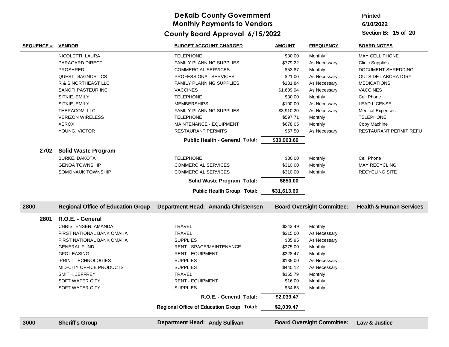#### **6/10/2022 Printed**

| <b>SEQUENCE #</b> | <b>VENDOR</b>                             | <b>BUDGET ACCOUNT CHARGED</b>             | <b>AMOUNT</b> | <b>FREQUENCY</b>                  | <b>BOARD NOTES</b>                 |
|-------------------|-------------------------------------------|-------------------------------------------|---------------|-----------------------------------|------------------------------------|
|                   | NICOLETTI, LAURA                          | <b>TELEPHONE</b>                          | \$30.00       | Monthly                           | MAY CELL PHONE                     |
|                   | PARAGARD DIRECT                           | <b>FAMILY PLANNING SUPPLIES</b>           | \$779.22      | As Necessary                      | <b>Clinic Supplies</b>             |
|                   | <b>PROSHRED</b>                           | <b>COMMERCIAL SERVICES</b>                | \$53.87       | Monthly                           | DOCUMENT SHREDDING                 |
|                   | <b>QUEST DIAGNOSTICS</b>                  | PROFESSIONAL SERVICES                     | \$21.00       | As Necessary                      | <b>OUTSIDE LABORATORY</b>          |
|                   | R & S NORTHEAST LLC                       | <b>FAMILY PLANNING SUPPLIES</b>           | \$181.84      | As Necessary                      | <b>MEDICATIONS</b>                 |
|                   | SANOFI PASTEUR INC.                       | <b>VACCINES</b>                           | \$1,609.04    | As Necessary                      | <b>VACCINES</b>                    |
|                   | SITKIE, EMILY                             | <b>TELEPHONE</b>                          | \$30.00       | Monthly                           | Cell Phone                         |
|                   | SITKIE, EMILY                             | <b>MEMBERSHIPS</b>                        | \$100.00      | As Necessary                      | <b>LEAD LICENSE</b>                |
|                   | THERACOM, LLC                             | <b>FAMILY PLANNING SUPPLIES</b>           | \$3,910.20    | As Necessary                      | <b>Medical Expenses</b>            |
|                   | <b>VERIZON WIRELESS</b>                   | <b>TELEPHONE</b>                          | \$597.71      | Monthly                           | <b>TELEPHONE</b>                   |
|                   | <b>XEROX</b>                              | MAINTENANCE - EQUIPMENT                   | \$678.05      | Monthly                           | Copy Machine                       |
|                   | YOUNG, VICTOR                             | <b>RESTAURANT PERMITS</b>                 | \$57.50       | As Necessary                      | RESTAURANT PERMIT REFU             |
|                   |                                           | Public Health - General Total:            | \$30,963.60   |                                   |                                    |
| 2702              | <b>Solid Waste Program</b>                |                                           |               |                                   |                                    |
|                   | <b>BURKE, DAKOTA</b>                      | <b>TELEPHONE</b>                          | \$30.00       | Monthly                           | Cell Phone                         |
|                   | <b>GENOA TOWNSHIP</b>                     | <b>COMMERCIAL SERVICES</b>                | \$310.00      | Monthly                           | <b>MAY RECYCLING</b>               |
|                   | SOMONAUK TOWNSHIP                         | <b>COMMERCIAL SERVICES</b>                | \$310.00      | Monthly                           | <b>RECYCLING SITE</b>              |
|                   |                                           | Solid Waste Program Total:                | \$650.00      |                                   |                                    |
|                   |                                           | <b>Public Health Group Total:</b>         | \$31,613.60   |                                   |                                    |
|                   |                                           |                                           |               |                                   |                                    |
| 2800              | <b>Regional Office of Education Group</b> | Department Head: Amanda Christensen       |               | <b>Board Oversight Committee:</b> | <b>Health &amp; Human Services</b> |
| 2801              | R.O.E. - General                          |                                           |               |                                   |                                    |
|                   | CHRISTENSEN, AMANDA                       | <b>TRAVEL</b>                             | \$243.49      | Monthly                           |                                    |
|                   | FIRST NATIONAL BANK OMAHA                 | <b>TRAVEL</b>                             | \$215.00      | As Necessary                      |                                    |
|                   | FIRST NATIONAL BANK OMAHA                 | <b>SUPPLIES</b>                           | \$85.95       | As Necessary                      |                                    |
|                   | <b>GENERAL FUND</b>                       | RENT - SPACE/MAINTENANCE                  | \$375.00      | Monthly                           |                                    |
|                   | <b>GFC LEASING</b>                        | <b>RENT - EQUIPMENT</b>                   | \$328.47      | Monthly                           |                                    |
|                   | <b>IPRINT TECHNOLOGIES</b>                | <b>SUPPLIES</b>                           | \$135.00      | As Necessary                      |                                    |
|                   | MID-CITY OFFICE PRODUCTS                  | <b>SUPPLIES</b>                           | \$440.12      | As Necessary                      |                                    |
|                   | SMITH, JEFFREY                            | <b>TRAVEL</b>                             | \$165.79      | Monthly                           |                                    |
|                   | SOFT WATER CITY                           | <b>RENT - EQUIPMENT</b>                   | \$16.00       | Monthly                           |                                    |
|                   | SOFT WATER CITY                           | <b>SUPPLIES</b>                           | \$34.65       | Monthly                           |                                    |
|                   |                                           | R.O.E. - General Total:                   | \$2,039.47    |                                   |                                    |
|                   |                                           | Regional Office of Education Group Total: | \$2,039.47    |                                   |                                    |
| 3000              | <b>Sheriff's Group</b>                    | <b>Department Head: Andy Sullivan</b>     |               | <b>Board Oversight Committee:</b> | Law & Justice                      |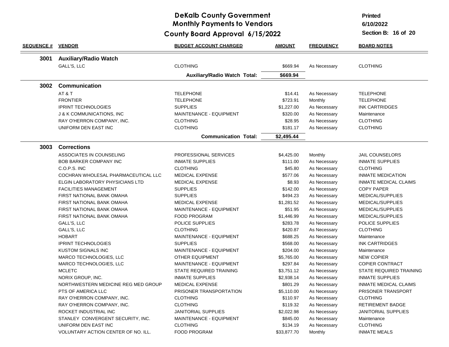### **DeKalb County Government Monthly Payments to Vendors**

#### **6/15/2022 County Board Approval**

**Printed**

**6/10/2022**

| <b>SEQUENCE # VENDOR</b> |                                     | <b>BUDGET ACCOUNT CHARGED</b>       | <b>AMOUNT</b> | <b>FREQUENCY</b> | <b>BOARD NOTES</b>           |
|--------------------------|-------------------------------------|-------------------------------------|---------------|------------------|------------------------------|
| 3001                     | <b>Auxiliary/Radio Watch</b>        |                                     |               |                  |                              |
|                          | GALL'S, LLC                         | <b>CLOTHING</b>                     | \$669.94      | As Necessary     | <b>CLOTHING</b>              |
|                          |                                     | <b>Auxiliary/Radio Watch Total:</b> | \$669.94      |                  |                              |
| 3002                     | <b>Communication</b>                |                                     |               |                  |                              |
|                          | AT&T                                | <b>TELEPHONE</b>                    | \$14.41       | As Necessary     | <b>TELEPHONE</b>             |
|                          | <b>FRONTIER</b>                     | <b>TELEPHONE</b>                    | \$723.91      | Monthly          | <b>TELEPHONE</b>             |
|                          | <b>IPRINT TECHNOLOGIES</b>          | <b>SUPPLIES</b>                     | \$1,227.00    | As Necessary     | <b>INK CARTRIDGES</b>        |
|                          | J & K COMMUNICATIONS, INC           | MAINTENANCE - EQUIPMENT             | \$320.00      | As Necessary     | Maintenance                  |
|                          | RAY O'HERRON COMPANY, INC.          | <b>CLOTHING</b>                     | \$28.95       | As Necessary     | <b>CLOTHING</b>              |
|                          | UNIFORM DEN EAST INC                | <b>CLOTHING</b>                     | \$181.17      | As Necessary     | <b>CLOTHING</b>              |
|                          |                                     | <b>Communication Total:</b>         | \$2,495.44    |                  |                              |
| 3003                     | <b>Corrections</b>                  |                                     |               |                  |                              |
|                          | ASSOCIATES IN COUNSELING            | PROFESSIONAL SERVICES               | \$4,425.00    | Monthly          | <b>JAIL COUNSELORS</b>       |
|                          | <b>BOB BARKER COMPANY INC</b>       | <b>INMATE SUPPLIES</b>              | \$111.00      | As Necessary     | <b>INMATE SUPPLIES</b>       |
|                          | C.O.P.S. INC                        | <b>CLOTHING</b>                     | \$45.80       | As Necessary     | <b>CLOTHING</b>              |
|                          | COCHRAN WHOLESAL PHARMACEUTICAL LLC | <b>MEDICAL EXPENSE</b>              | \$577.06      | As Necessary     | <b>INMATE MEDICATION</b>     |
|                          | ELGIN LABORATORY PHYSICIANS LTD     | <b>MEDICAL EXPENSE</b>              | \$8.93        | As Necessary     | <b>INMATE MEDICAL CLAIMS</b> |
|                          | <b>FACILITIES MANAGEMENT</b>        | <b>SUPPLIES</b>                     | \$142.00      | As Necessary     | <b>COPY PAPER</b>            |
|                          | FIRST NATIONAL BANK OMAHA           | <b>SUPPLIES</b>                     | \$494.23      | As Necessary     | MEDICAL/SUPPLIES             |
|                          | FIRST NATIONAL BANK OMAHA           | <b>MEDICAL EXPENSE</b>              | \$1,281.52    | As Necessary     | MEDICAL/SUPPLIES             |
|                          | FIRST NATIONAL BANK OMAHA           | MAINTENANCE - EQUIPMENT             | \$51.95       | As Necessary     | MEDICAL/SUPPLIES             |
|                          | FIRST NATIONAL BANK OMAHA           | <b>FOOD PROGRAM</b>                 | \$1,446.99    | As Necessary     | MEDICAL/SUPPLIES             |
|                          | GALL'S, LLC                         | POLICE SUPPLIES                     | \$283.78      | As Necessary     | POLICE SUPPLIES              |
|                          | GALL'S, LLC                         | <b>CLOTHING</b>                     | \$420.87      | As Necessary     | <b>CLOTHING</b>              |
|                          | <b>HOBART</b>                       | MAINTENANCE - EQUIPMENT             | \$688.25      | As Necessary     | Maintenance                  |
|                          | <b>IPRINT TECHNOLOGIES</b>          | <b>SUPPLIES</b>                     | \$568.00      | As Necessary     | <b>INK CARTRIDGES</b>        |
|                          | KUSTOM SIGNALS INC                  | MAINTENANCE - EQUIPMENT             | \$204.00      | As Necessary     | Maintenance                  |
|                          | MARCO TECHNOLOGIES, LLC             | <b>OTHER EQUIPMENT</b>              | \$5,765.00    | As Necessary     | <b>NEW COPIER</b>            |
|                          | MARCO TECHNOLOGIES, LLC             | MAINTENANCE - EQUIPMENT             | \$297.84      | As Necessary     | <b>COPIER CONTRACT</b>       |
|                          | <b>MCLETC</b>                       | STATE REQUIRED TRAINING             | \$3,751.12    | As Necessary     | STATE REQUIRED TRAINING      |
|                          | NORIX GROUP, INC.                   | <b>INMATE SUPPLIES</b>              | \$2,938.14    | As Necessary     | <b>INMATE SUPPLIES</b>       |
|                          | NORTHWESTERN MEDICINE REG MED GROUP | <b>MEDICAL EXPENSE</b>              | \$801.29      | As Necessary     | INMATE MEDICAL CLAIMS        |
|                          | PTS OF AMERICA LLC                  | PRISONER TRANSPORTATION             | \$5,110.00    | As Necessary     | PRISONER TRANSPORT           |
|                          | RAY O'HERRON COMPANY, INC.          | <b>CLOTHING</b>                     | \$110.97      | As Necessary     | <b>CLOTHING</b>              |
|                          | RAY O'HERRON COMPANY, INC.          | <b>CLOTHING</b>                     | \$119.32      | As Necessary     | <b>RETIREMENT BADGE</b>      |
|                          | ROCKET INDUSTRIAL INC               | <b>JANITORIAL SUPPLIES</b>          | \$2,022.98    | As Necessary     | <b>JANITORIAL SUPPLIES</b>   |
|                          | STANLEY CONVERGENT SECURITY, INC.   | MAINTENANCE - EQUIPMENT             | \$845.00      | As Necessary     | Maintenance                  |
|                          | UNIFORM DEN EAST INC                | <b>CLOTHING</b>                     | \$134.19      | As Necessary     | <b>CLOTHING</b>              |
|                          | VOLUNTARY ACTION CENTER OF NO. ILL. | <b>FOOD PROGRAM</b>                 | \$33,877.70   | Monthly          | <b>INMATE MEALS</b>          |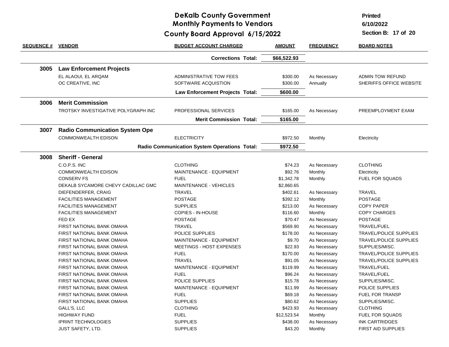### **DeKalb County Government Monthly Payments to Vendors**

**6/15/2022 County Board Approval**

**Printed**

**6/10/2022**

| <b>SEQUENCE # VENDOR</b> |                                       | <b>BUDGET ACCOUNT CHARGED</b>                | <u>AMOUNT</u> | <b>FREQUENCY</b> | <b>BOARD NOTES</b>            |
|--------------------------|---------------------------------------|----------------------------------------------|---------------|------------------|-------------------------------|
|                          |                                       | <b>Corrections Total:</b>                    | \$66,522.93   |                  |                               |
| 3005                     | <b>Law Enforcement Projects</b>       |                                              |               |                  |                               |
|                          | EL ALAOUI, EL ARQAM                   | ADMINISTRATIVE TOW FEES                      | \$300.00      | As Necessary     | <b>ADMIN TOW REFUND</b>       |
|                          | OC CREATIVE, INC                      | SOFTWARE ACQUISTION                          | \$300.00      | Annually         | SHERIFFS OFFICE WEBSITE       |
|                          |                                       | Law Enforcement Projects Total:              | \$600.00      |                  |                               |
|                          |                                       |                                              |               |                  |                               |
| 3006                     | <b>Merit Commission</b>               |                                              |               |                  |                               |
|                          | TROTSKY INVESTIGATIVE POLYGRAPH INC   | PROFESSIONAL SERVICES                        | \$165.00      | As Necessary     | PREEMPLOYMENT EXAM            |
|                          |                                       | <b>Merit Commission Total:</b>               | \$165.00      |                  |                               |
| 3007                     | <b>Radio Communication System Ope</b> |                                              |               |                  |                               |
|                          | <b>COMMONWEALTH EDISON</b>            | <b>ELECTRICITY</b>                           | \$972.50      | Monthly          | Electricity                   |
|                          |                                       | Radio Communication System Operations Total: | \$972.50      |                  |                               |
|                          |                                       |                                              |               |                  |                               |
| 3008                     | <b>Sheriff - General</b>              |                                              |               |                  |                               |
|                          | C.O.P.S. INC                          | <b>CLOTHING</b>                              | \$74.23       | As Necessary     | <b>CLOTHING</b>               |
|                          | <b>COMMONWEALTH EDISON</b>            | MAINTENANCE - EQUIPMENT                      | \$92.76       | Monthly          | Electricity                   |
|                          | <b>CONSERV FS</b>                     | <b>FUEL</b>                                  | \$1,342.78    | Monthly          | <b>FUEL FOR SQUADS</b>        |
|                          | DEKALB SYCAMORE CHEVY CADILLAC GMC    | <b>MAINTENANCE - VEHICLES</b>                | \$2,860.65    |                  |                               |
|                          | DIEFENDERFER, CRAIG                   | <b>TRAVEL</b>                                | \$402.61      | As Necessary     | <b>TRAVEL</b>                 |
|                          | <b>FACILITIES MANAGEMENT</b>          | <b>POSTAGE</b>                               | \$392.12      | Monthly          | <b>POSTAGE</b>                |
|                          | <b>FACILITIES MANAGEMENT</b>          | <b>SUPPLIES</b>                              | \$213.00      | As Necessary     | <b>COPY PAPER</b>             |
|                          | <b>FACILITIES MANAGEMENT</b>          | <b>COPIES - IN-HOUSE</b>                     | \$116.60      | Monthly          | <b>COPY CHARGES</b>           |
|                          | FED EX                                | <b>POSTAGE</b>                               | \$70.47       | As Necessary     | <b>POSTAGE</b>                |
|                          | FIRST NATIONAL BANK OMAHA             | <b>TRAVEL</b>                                | \$569.90      | As Necessary     | TRAVEL/FUEL                   |
|                          | FIRST NATIONAL BANK OMAHA             | POLICE SUPPLIES                              | \$178.00      | As Necessary     | TRAVEL/POLICE SUPPLIES        |
|                          | FIRST NATIONAL BANK OMAHA             | MAINTENANCE - EQUIPMENT                      | \$9.70        | As Necessary     | <b>TRAVEL/POLICE SUPPLIES</b> |
|                          | FIRST NATIONAL BANK OMAHA             | MEETINGS - HOST EXPENSES                     | \$22.93       | As Necessary     | SUPPLIES/MISC.                |
|                          | FIRST NATIONAL BANK OMAHA             | <b>FUEL</b>                                  | \$170.00      | As Necessary     | <b>TRAVEL/POLICE SUPPLIES</b> |
|                          | FIRST NATIONAL BANK OMAHA             | <b>TRAVEL</b>                                | \$91.05       | As Necessary     | <b>TRAVEL/POLICE SUPPLIES</b> |
|                          | FIRST NATIONAL BANK OMAHA             | MAINTENANCE - EQUIPMENT                      | \$119.99      | As Necessary     | TRAVEL/FUEL                   |
|                          | FIRST NATIONAL BANK OMAHA             | <b>FUEL</b>                                  | \$96.24       | As Necessary     | TRAVEL/FUEL                   |
|                          | FIRST NATIONAL BANK OMAHA             | POLICE SUPPLIES                              | \$15.78       | As Necessary     | SUPPLIES/MISC.                |
|                          | FIRST NATIONAL BANK OMAHA             | MAINTENANCE - EQUIPMENT                      | \$11.99       | As Necessary     | POLICE SUPPLIES               |
|                          | FIRST NATIONAL BANK OMAHA             | <b>FUEL</b>                                  | \$69.18       | As Necessary     | <b>FUEL FOR TRANSP</b>        |
|                          | FIRST NATIONAL BANK OMAHA             | <b>SUPPLIES</b>                              | \$80.62       | As Necessary     | SUPPLIES/MISC.                |
|                          | GALL'S, LLC                           | <b>CLOTHING</b>                              | \$423.93      | As Necessary     | <b>CLOTHING</b>               |
|                          | <b>HIGHWAY FUND</b>                   | <b>FUEL</b>                                  | \$12,523.54   | Monthly          | <b>FUEL FOR SQUADS</b>        |
|                          | <b>IPRINT TECHNOLOGIES</b>            | <b>SUPPLIES</b>                              | \$438.00      | As Necessary     | <b>INK CARTRIDGES</b>         |
|                          | <b>JUST SAFETY, LTD.</b>              | <b>SUPPLIES</b>                              | \$43.20       | Monthly          | <b>FIRST AID SUPPLIES</b>     |
|                          |                                       |                                              |               |                  |                               |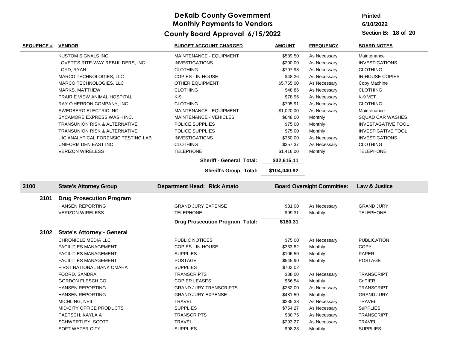# **Printed**

**6/10/2022**

| <b>KUSTOM SIGNALS INC</b><br>MAINTENANCE - EQUIPMENT<br>\$589.50<br>Maintenance<br>As Necessary<br>LOVETT'S RITE-WAY REBUILDERS, INC.<br><b>INVESTIGATIONS</b><br>\$200.00<br>As Necessary<br><b>INVESTIGATIONS</b><br><b>CLOTHING</b><br>\$797.98<br>LOYD, RYAN<br>As Necessary<br><b>CLOTHING</b><br>MARCO TECHNOLOGIES, LLC<br>COPIES - IN-HOUSE<br>\$48.26<br>As Necessary<br><b>IN-HOUSE COPIES</b><br>MARCO TECHNOLOGIES, LLC<br><b>OTHER EQUIPMENT</b><br>\$5,765.00<br>As Necessary<br>Copy Machine<br><b>CLOTHING</b><br>\$48.86<br><b>CLOTHING</b><br><b>MARKS, MATTHEW</b><br>As Necessary<br>K-9<br>\$78.96<br>As Necessary<br>K-9 VET<br>PRAIRIE VIEW ANIMAL HOSPITAL<br><b>CLOTHING</b><br>\$705.91<br>As Necessary<br><b>CLOTHING</b><br>RAY O'HERRON COMPANY, INC.<br>MAINTENANCE - EQUIPMENT<br>\$1,020.00<br>SWEDBERG ELECTRIC INC<br>As Necessary<br>Maintenance<br>SYCAMORE EXPRESS WASH INC.<br>\$648.00<br>Monthly<br><b>MAINTENANCE - VEHICLES</b><br><b>SQUAD CAR WASHES</b><br>TRANSUNION RISK & ALTERNATIVE<br>POLICE SUPPLIES<br>\$75.00<br>Monthly<br><b>INVESTAGATIVE TOOL</b><br>\$75.00<br>TRANSUNION RISK & ALTERNATIVE<br>POLICE SUPPLIES<br>Monthly<br><b>INVESTIGATIVE TOOL</b><br>UIC ANALYTICAL FORENSIC TESTING LAB<br><b>INVESTIGATIONS</b><br>\$360.00<br>As Necessary<br><b>INVESTIGATIONS</b><br><b>CLOTHING</b><br>UNIFORM DEN EAST INC<br>\$357.37<br>As Necessary<br><b>CLOTHING</b><br><b>VERIZON WIRELESS</b><br><b>TELEPHONE</b><br>\$1,416.00<br>Monthly<br><b>TELEPHONE</b><br><b>Sheriff - General Total:</b><br>\$32,615.11<br>\$104,040.92<br><b>Sheriff's Group Total:</b><br>3100<br><b>Department Head: Rick Amato</b><br><b>Board Oversight Committee:</b><br>Law & Justice<br><b>State's Attorney Group</b><br>3101<br><b>Drug Prosecution Program</b><br><b>HANSEN REPORTING</b><br><b>GRAND JURY EXPENSE</b><br>\$81.00<br>As Necessary<br><b>GRAND JURY</b><br><b>VERIZON WIRELESS</b><br><b>TELEPHONE</b><br>\$99.31<br>Monthly<br><b>TELEPHONE</b><br><b>Drug Prosecution Program Total:</b><br>\$180.31<br>3102 State's Attorney - General<br>CHRONICLE MEDIA LLC<br>PUBLIC NOTICES<br>\$75.00<br>As Necessary<br><b>PUBLICATION</b><br>\$363.82<br>Monthly<br><b>COPY</b><br><b>FACILITIES MANAGEMENT</b><br>COPIES - IN-HOUSE<br><b>SUPPLIES</b><br>\$106.50<br>Monthly<br><b>PAPER</b><br><b>FACILITIES MANAGEMENT</b><br>\$545.90<br>Monthly<br><b>FACILITIES MANAGEMENT</b><br><b>POSTAGE</b><br>POSTAGE<br><b>SUPPLIES</b><br>\$702.02<br><b>FIRST NATIONAL BANK OMAHA</b><br><b>TRANSCRIPTS</b><br>\$88.00<br><b>TRANSCRIPT</b><br>FOORD, SANDRA<br>As Necessary<br>\$66.54<br>CoPIER<br>GORDON FLESCH CO.<br><b>COPIER LEASES</b><br>Monthly<br><b>HANSEN REPORTING</b><br><b>GRAND JURY TRANSCRIPTS</b><br>\$282.00<br>As Necessary<br><b>TRANSCRIPT</b><br><b>GRAND JURY EXPENSE</b><br><b>HANSEN REPORTING</b><br>\$481.50<br>Monthly<br><b>GRAND JURY</b><br><b>TRAVEL</b><br>\$235.38<br><b>TRAVEL</b><br>MICHLING, NEIL<br>As Necessary<br>MID-CITY OFFICE PRODUCTS<br><b>SUPPLIES</b><br>\$754.27<br><b>SuPPLIES</b><br>As Necessary<br><b>TRANSCRIPTS</b><br>\$80.75<br>PAETSCH, KAYLA A<br>As Necessary<br><b>TRANSCRIPT</b><br>\$293.27<br>As Necessary<br>SCHWERTLEY, SCOTT<br><b>TRAVEL</b><br>TRAVEL | <b>SEQUENCE #</b> | <b>VENDOR</b>   | <b>BUDGET ACCOUNT CHARGED</b> | <b>AMOUNT</b> | <b>FREQUENCY</b> | <b>BOARD NOTES</b> |
|-------------------------------------------------------------------------------------------------------------------------------------------------------------------------------------------------------------------------------------------------------------------------------------------------------------------------------------------------------------------------------------------------------------------------------------------------------------------------------------------------------------------------------------------------------------------------------------------------------------------------------------------------------------------------------------------------------------------------------------------------------------------------------------------------------------------------------------------------------------------------------------------------------------------------------------------------------------------------------------------------------------------------------------------------------------------------------------------------------------------------------------------------------------------------------------------------------------------------------------------------------------------------------------------------------------------------------------------------------------------------------------------------------------------------------------------------------------------------------------------------------------------------------------------------------------------------------------------------------------------------------------------------------------------------------------------------------------------------------------------------------------------------------------------------------------------------------------------------------------------------------------------------------------------------------------------------------------------------------------------------------------------------------------------------------------------------------------------------------------------------------------------------------------------------------------------------------------------------------------------------------------------------------------------------------------------------------------------------------------------------------------------------------------------------------------------------------------------------------------------------------------------------------------------------------------------------------------------------------------------------------------------------------------------------------------------------------------------------------------------------------------------------------------------------------------------------------------------------------------------------------------------------------------------------------------------------------------------------------------------------------------------------------------------------------------------------------------------------------------------------------------------------------------------------------------------------------------------------------------------------------------------------------------------|-------------------|-----------------|-------------------------------|---------------|------------------|--------------------|
|                                                                                                                                                                                                                                                                                                                                                                                                                                                                                                                                                                                                                                                                                                                                                                                                                                                                                                                                                                                                                                                                                                                                                                                                                                                                                                                                                                                                                                                                                                                                                                                                                                                                                                                                                                                                                                                                                                                                                                                                                                                                                                                                                                                                                                                                                                                                                                                                                                                                                                                                                                                                                                                                                                                                                                                                                                                                                                                                                                                                                                                                                                                                                                                                                                                                                           |                   |                 |                               |               |                  |                    |
|                                                                                                                                                                                                                                                                                                                                                                                                                                                                                                                                                                                                                                                                                                                                                                                                                                                                                                                                                                                                                                                                                                                                                                                                                                                                                                                                                                                                                                                                                                                                                                                                                                                                                                                                                                                                                                                                                                                                                                                                                                                                                                                                                                                                                                                                                                                                                                                                                                                                                                                                                                                                                                                                                                                                                                                                                                                                                                                                                                                                                                                                                                                                                                                                                                                                                           |                   |                 |                               |               |                  |                    |
|                                                                                                                                                                                                                                                                                                                                                                                                                                                                                                                                                                                                                                                                                                                                                                                                                                                                                                                                                                                                                                                                                                                                                                                                                                                                                                                                                                                                                                                                                                                                                                                                                                                                                                                                                                                                                                                                                                                                                                                                                                                                                                                                                                                                                                                                                                                                                                                                                                                                                                                                                                                                                                                                                                                                                                                                                                                                                                                                                                                                                                                                                                                                                                                                                                                                                           |                   |                 |                               |               |                  |                    |
|                                                                                                                                                                                                                                                                                                                                                                                                                                                                                                                                                                                                                                                                                                                                                                                                                                                                                                                                                                                                                                                                                                                                                                                                                                                                                                                                                                                                                                                                                                                                                                                                                                                                                                                                                                                                                                                                                                                                                                                                                                                                                                                                                                                                                                                                                                                                                                                                                                                                                                                                                                                                                                                                                                                                                                                                                                                                                                                                                                                                                                                                                                                                                                                                                                                                                           |                   |                 |                               |               |                  |                    |
|                                                                                                                                                                                                                                                                                                                                                                                                                                                                                                                                                                                                                                                                                                                                                                                                                                                                                                                                                                                                                                                                                                                                                                                                                                                                                                                                                                                                                                                                                                                                                                                                                                                                                                                                                                                                                                                                                                                                                                                                                                                                                                                                                                                                                                                                                                                                                                                                                                                                                                                                                                                                                                                                                                                                                                                                                                                                                                                                                                                                                                                                                                                                                                                                                                                                                           |                   |                 |                               |               |                  |                    |
|                                                                                                                                                                                                                                                                                                                                                                                                                                                                                                                                                                                                                                                                                                                                                                                                                                                                                                                                                                                                                                                                                                                                                                                                                                                                                                                                                                                                                                                                                                                                                                                                                                                                                                                                                                                                                                                                                                                                                                                                                                                                                                                                                                                                                                                                                                                                                                                                                                                                                                                                                                                                                                                                                                                                                                                                                                                                                                                                                                                                                                                                                                                                                                                                                                                                                           |                   |                 |                               |               |                  |                    |
|                                                                                                                                                                                                                                                                                                                                                                                                                                                                                                                                                                                                                                                                                                                                                                                                                                                                                                                                                                                                                                                                                                                                                                                                                                                                                                                                                                                                                                                                                                                                                                                                                                                                                                                                                                                                                                                                                                                                                                                                                                                                                                                                                                                                                                                                                                                                                                                                                                                                                                                                                                                                                                                                                                                                                                                                                                                                                                                                                                                                                                                                                                                                                                                                                                                                                           |                   |                 |                               |               |                  |                    |
|                                                                                                                                                                                                                                                                                                                                                                                                                                                                                                                                                                                                                                                                                                                                                                                                                                                                                                                                                                                                                                                                                                                                                                                                                                                                                                                                                                                                                                                                                                                                                                                                                                                                                                                                                                                                                                                                                                                                                                                                                                                                                                                                                                                                                                                                                                                                                                                                                                                                                                                                                                                                                                                                                                                                                                                                                                                                                                                                                                                                                                                                                                                                                                                                                                                                                           |                   |                 |                               |               |                  |                    |
|                                                                                                                                                                                                                                                                                                                                                                                                                                                                                                                                                                                                                                                                                                                                                                                                                                                                                                                                                                                                                                                                                                                                                                                                                                                                                                                                                                                                                                                                                                                                                                                                                                                                                                                                                                                                                                                                                                                                                                                                                                                                                                                                                                                                                                                                                                                                                                                                                                                                                                                                                                                                                                                                                                                                                                                                                                                                                                                                                                                                                                                                                                                                                                                                                                                                                           |                   |                 |                               |               |                  |                    |
|                                                                                                                                                                                                                                                                                                                                                                                                                                                                                                                                                                                                                                                                                                                                                                                                                                                                                                                                                                                                                                                                                                                                                                                                                                                                                                                                                                                                                                                                                                                                                                                                                                                                                                                                                                                                                                                                                                                                                                                                                                                                                                                                                                                                                                                                                                                                                                                                                                                                                                                                                                                                                                                                                                                                                                                                                                                                                                                                                                                                                                                                                                                                                                                                                                                                                           |                   |                 |                               |               |                  |                    |
|                                                                                                                                                                                                                                                                                                                                                                                                                                                                                                                                                                                                                                                                                                                                                                                                                                                                                                                                                                                                                                                                                                                                                                                                                                                                                                                                                                                                                                                                                                                                                                                                                                                                                                                                                                                                                                                                                                                                                                                                                                                                                                                                                                                                                                                                                                                                                                                                                                                                                                                                                                                                                                                                                                                                                                                                                                                                                                                                                                                                                                                                                                                                                                                                                                                                                           |                   |                 |                               |               |                  |                    |
|                                                                                                                                                                                                                                                                                                                                                                                                                                                                                                                                                                                                                                                                                                                                                                                                                                                                                                                                                                                                                                                                                                                                                                                                                                                                                                                                                                                                                                                                                                                                                                                                                                                                                                                                                                                                                                                                                                                                                                                                                                                                                                                                                                                                                                                                                                                                                                                                                                                                                                                                                                                                                                                                                                                                                                                                                                                                                                                                                                                                                                                                                                                                                                                                                                                                                           |                   |                 |                               |               |                  |                    |
|                                                                                                                                                                                                                                                                                                                                                                                                                                                                                                                                                                                                                                                                                                                                                                                                                                                                                                                                                                                                                                                                                                                                                                                                                                                                                                                                                                                                                                                                                                                                                                                                                                                                                                                                                                                                                                                                                                                                                                                                                                                                                                                                                                                                                                                                                                                                                                                                                                                                                                                                                                                                                                                                                                                                                                                                                                                                                                                                                                                                                                                                                                                                                                                                                                                                                           |                   |                 |                               |               |                  |                    |
|                                                                                                                                                                                                                                                                                                                                                                                                                                                                                                                                                                                                                                                                                                                                                                                                                                                                                                                                                                                                                                                                                                                                                                                                                                                                                                                                                                                                                                                                                                                                                                                                                                                                                                                                                                                                                                                                                                                                                                                                                                                                                                                                                                                                                                                                                                                                                                                                                                                                                                                                                                                                                                                                                                                                                                                                                                                                                                                                                                                                                                                                                                                                                                                                                                                                                           |                   |                 |                               |               |                  |                    |
|                                                                                                                                                                                                                                                                                                                                                                                                                                                                                                                                                                                                                                                                                                                                                                                                                                                                                                                                                                                                                                                                                                                                                                                                                                                                                                                                                                                                                                                                                                                                                                                                                                                                                                                                                                                                                                                                                                                                                                                                                                                                                                                                                                                                                                                                                                                                                                                                                                                                                                                                                                                                                                                                                                                                                                                                                                                                                                                                                                                                                                                                                                                                                                                                                                                                                           |                   |                 |                               |               |                  |                    |
|                                                                                                                                                                                                                                                                                                                                                                                                                                                                                                                                                                                                                                                                                                                                                                                                                                                                                                                                                                                                                                                                                                                                                                                                                                                                                                                                                                                                                                                                                                                                                                                                                                                                                                                                                                                                                                                                                                                                                                                                                                                                                                                                                                                                                                                                                                                                                                                                                                                                                                                                                                                                                                                                                                                                                                                                                                                                                                                                                                                                                                                                                                                                                                                                                                                                                           |                   |                 |                               |               |                  |                    |
|                                                                                                                                                                                                                                                                                                                                                                                                                                                                                                                                                                                                                                                                                                                                                                                                                                                                                                                                                                                                                                                                                                                                                                                                                                                                                                                                                                                                                                                                                                                                                                                                                                                                                                                                                                                                                                                                                                                                                                                                                                                                                                                                                                                                                                                                                                                                                                                                                                                                                                                                                                                                                                                                                                                                                                                                                                                                                                                                                                                                                                                                                                                                                                                                                                                                                           |                   |                 |                               |               |                  |                    |
|                                                                                                                                                                                                                                                                                                                                                                                                                                                                                                                                                                                                                                                                                                                                                                                                                                                                                                                                                                                                                                                                                                                                                                                                                                                                                                                                                                                                                                                                                                                                                                                                                                                                                                                                                                                                                                                                                                                                                                                                                                                                                                                                                                                                                                                                                                                                                                                                                                                                                                                                                                                                                                                                                                                                                                                                                                                                                                                                                                                                                                                                                                                                                                                                                                                                                           |                   |                 |                               |               |                  |                    |
|                                                                                                                                                                                                                                                                                                                                                                                                                                                                                                                                                                                                                                                                                                                                                                                                                                                                                                                                                                                                                                                                                                                                                                                                                                                                                                                                                                                                                                                                                                                                                                                                                                                                                                                                                                                                                                                                                                                                                                                                                                                                                                                                                                                                                                                                                                                                                                                                                                                                                                                                                                                                                                                                                                                                                                                                                                                                                                                                                                                                                                                                                                                                                                                                                                                                                           |                   |                 |                               |               |                  |                    |
|                                                                                                                                                                                                                                                                                                                                                                                                                                                                                                                                                                                                                                                                                                                                                                                                                                                                                                                                                                                                                                                                                                                                                                                                                                                                                                                                                                                                                                                                                                                                                                                                                                                                                                                                                                                                                                                                                                                                                                                                                                                                                                                                                                                                                                                                                                                                                                                                                                                                                                                                                                                                                                                                                                                                                                                                                                                                                                                                                                                                                                                                                                                                                                                                                                                                                           |                   |                 |                               |               |                  |                    |
|                                                                                                                                                                                                                                                                                                                                                                                                                                                                                                                                                                                                                                                                                                                                                                                                                                                                                                                                                                                                                                                                                                                                                                                                                                                                                                                                                                                                                                                                                                                                                                                                                                                                                                                                                                                                                                                                                                                                                                                                                                                                                                                                                                                                                                                                                                                                                                                                                                                                                                                                                                                                                                                                                                                                                                                                                                                                                                                                                                                                                                                                                                                                                                                                                                                                                           |                   |                 |                               |               |                  |                    |
|                                                                                                                                                                                                                                                                                                                                                                                                                                                                                                                                                                                                                                                                                                                                                                                                                                                                                                                                                                                                                                                                                                                                                                                                                                                                                                                                                                                                                                                                                                                                                                                                                                                                                                                                                                                                                                                                                                                                                                                                                                                                                                                                                                                                                                                                                                                                                                                                                                                                                                                                                                                                                                                                                                                                                                                                                                                                                                                                                                                                                                                                                                                                                                                                                                                                                           |                   |                 |                               |               |                  |                    |
|                                                                                                                                                                                                                                                                                                                                                                                                                                                                                                                                                                                                                                                                                                                                                                                                                                                                                                                                                                                                                                                                                                                                                                                                                                                                                                                                                                                                                                                                                                                                                                                                                                                                                                                                                                                                                                                                                                                                                                                                                                                                                                                                                                                                                                                                                                                                                                                                                                                                                                                                                                                                                                                                                                                                                                                                                                                                                                                                                                                                                                                                                                                                                                                                                                                                                           |                   |                 |                               |               |                  |                    |
|                                                                                                                                                                                                                                                                                                                                                                                                                                                                                                                                                                                                                                                                                                                                                                                                                                                                                                                                                                                                                                                                                                                                                                                                                                                                                                                                                                                                                                                                                                                                                                                                                                                                                                                                                                                                                                                                                                                                                                                                                                                                                                                                                                                                                                                                                                                                                                                                                                                                                                                                                                                                                                                                                                                                                                                                                                                                                                                                                                                                                                                                                                                                                                                                                                                                                           |                   |                 |                               |               |                  |                    |
|                                                                                                                                                                                                                                                                                                                                                                                                                                                                                                                                                                                                                                                                                                                                                                                                                                                                                                                                                                                                                                                                                                                                                                                                                                                                                                                                                                                                                                                                                                                                                                                                                                                                                                                                                                                                                                                                                                                                                                                                                                                                                                                                                                                                                                                                                                                                                                                                                                                                                                                                                                                                                                                                                                                                                                                                                                                                                                                                                                                                                                                                                                                                                                                                                                                                                           |                   |                 |                               |               |                  |                    |
|                                                                                                                                                                                                                                                                                                                                                                                                                                                                                                                                                                                                                                                                                                                                                                                                                                                                                                                                                                                                                                                                                                                                                                                                                                                                                                                                                                                                                                                                                                                                                                                                                                                                                                                                                                                                                                                                                                                                                                                                                                                                                                                                                                                                                                                                                                                                                                                                                                                                                                                                                                                                                                                                                                                                                                                                                                                                                                                                                                                                                                                                                                                                                                                                                                                                                           |                   |                 |                               |               |                  |                    |
|                                                                                                                                                                                                                                                                                                                                                                                                                                                                                                                                                                                                                                                                                                                                                                                                                                                                                                                                                                                                                                                                                                                                                                                                                                                                                                                                                                                                                                                                                                                                                                                                                                                                                                                                                                                                                                                                                                                                                                                                                                                                                                                                                                                                                                                                                                                                                                                                                                                                                                                                                                                                                                                                                                                                                                                                                                                                                                                                                                                                                                                                                                                                                                                                                                                                                           |                   |                 |                               |               |                  |                    |
|                                                                                                                                                                                                                                                                                                                                                                                                                                                                                                                                                                                                                                                                                                                                                                                                                                                                                                                                                                                                                                                                                                                                                                                                                                                                                                                                                                                                                                                                                                                                                                                                                                                                                                                                                                                                                                                                                                                                                                                                                                                                                                                                                                                                                                                                                                                                                                                                                                                                                                                                                                                                                                                                                                                                                                                                                                                                                                                                                                                                                                                                                                                                                                                                                                                                                           |                   |                 |                               |               |                  |                    |
|                                                                                                                                                                                                                                                                                                                                                                                                                                                                                                                                                                                                                                                                                                                                                                                                                                                                                                                                                                                                                                                                                                                                                                                                                                                                                                                                                                                                                                                                                                                                                                                                                                                                                                                                                                                                                                                                                                                                                                                                                                                                                                                                                                                                                                                                                                                                                                                                                                                                                                                                                                                                                                                                                                                                                                                                                                                                                                                                                                                                                                                                                                                                                                                                                                                                                           |                   |                 |                               |               |                  |                    |
|                                                                                                                                                                                                                                                                                                                                                                                                                                                                                                                                                                                                                                                                                                                                                                                                                                                                                                                                                                                                                                                                                                                                                                                                                                                                                                                                                                                                                                                                                                                                                                                                                                                                                                                                                                                                                                                                                                                                                                                                                                                                                                                                                                                                                                                                                                                                                                                                                                                                                                                                                                                                                                                                                                                                                                                                                                                                                                                                                                                                                                                                                                                                                                                                                                                                                           |                   |                 |                               |               |                  |                    |
|                                                                                                                                                                                                                                                                                                                                                                                                                                                                                                                                                                                                                                                                                                                                                                                                                                                                                                                                                                                                                                                                                                                                                                                                                                                                                                                                                                                                                                                                                                                                                                                                                                                                                                                                                                                                                                                                                                                                                                                                                                                                                                                                                                                                                                                                                                                                                                                                                                                                                                                                                                                                                                                                                                                                                                                                                                                                                                                                                                                                                                                                                                                                                                                                                                                                                           |                   |                 |                               |               |                  |                    |
|                                                                                                                                                                                                                                                                                                                                                                                                                                                                                                                                                                                                                                                                                                                                                                                                                                                                                                                                                                                                                                                                                                                                                                                                                                                                                                                                                                                                                                                                                                                                                                                                                                                                                                                                                                                                                                                                                                                                                                                                                                                                                                                                                                                                                                                                                                                                                                                                                                                                                                                                                                                                                                                                                                                                                                                                                                                                                                                                                                                                                                                                                                                                                                                                                                                                                           |                   |                 |                               |               |                  |                    |
|                                                                                                                                                                                                                                                                                                                                                                                                                                                                                                                                                                                                                                                                                                                                                                                                                                                                                                                                                                                                                                                                                                                                                                                                                                                                                                                                                                                                                                                                                                                                                                                                                                                                                                                                                                                                                                                                                                                                                                                                                                                                                                                                                                                                                                                                                                                                                                                                                                                                                                                                                                                                                                                                                                                                                                                                                                                                                                                                                                                                                                                                                                                                                                                                                                                                                           |                   |                 |                               |               |                  |                    |
|                                                                                                                                                                                                                                                                                                                                                                                                                                                                                                                                                                                                                                                                                                                                                                                                                                                                                                                                                                                                                                                                                                                                                                                                                                                                                                                                                                                                                                                                                                                                                                                                                                                                                                                                                                                                                                                                                                                                                                                                                                                                                                                                                                                                                                                                                                                                                                                                                                                                                                                                                                                                                                                                                                                                                                                                                                                                                                                                                                                                                                                                                                                                                                                                                                                                                           |                   |                 |                               |               |                  |                    |
|                                                                                                                                                                                                                                                                                                                                                                                                                                                                                                                                                                                                                                                                                                                                                                                                                                                                                                                                                                                                                                                                                                                                                                                                                                                                                                                                                                                                                                                                                                                                                                                                                                                                                                                                                                                                                                                                                                                                                                                                                                                                                                                                                                                                                                                                                                                                                                                                                                                                                                                                                                                                                                                                                                                                                                                                                                                                                                                                                                                                                                                                                                                                                                                                                                                                                           |                   |                 |                               |               |                  |                    |
|                                                                                                                                                                                                                                                                                                                                                                                                                                                                                                                                                                                                                                                                                                                                                                                                                                                                                                                                                                                                                                                                                                                                                                                                                                                                                                                                                                                                                                                                                                                                                                                                                                                                                                                                                                                                                                                                                                                                                                                                                                                                                                                                                                                                                                                                                                                                                                                                                                                                                                                                                                                                                                                                                                                                                                                                                                                                                                                                                                                                                                                                                                                                                                                                                                                                                           |                   |                 |                               |               |                  |                    |
|                                                                                                                                                                                                                                                                                                                                                                                                                                                                                                                                                                                                                                                                                                                                                                                                                                                                                                                                                                                                                                                                                                                                                                                                                                                                                                                                                                                                                                                                                                                                                                                                                                                                                                                                                                                                                                                                                                                                                                                                                                                                                                                                                                                                                                                                                                                                                                                                                                                                                                                                                                                                                                                                                                                                                                                                                                                                                                                                                                                                                                                                                                                                                                                                                                                                                           |                   | SOFT WATER CITY | <b>SUPPLIES</b>               | \$98.23       | Monthly          | <b>SUPPLIES</b>    |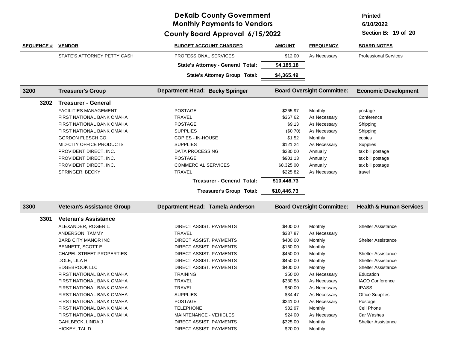**Printed**

**6/10/2022**

| <b>SEQUENCE #</b> | <b>VENDOR</b>                                 | <b>BUDGET ACCOUNT CHARGED</b>            | <b>AMOUNT</b>        | <b>FREQUENCY</b>                  | <b>BOARD NOTES</b>                 |
|-------------------|-----------------------------------------------|------------------------------------------|----------------------|-----------------------------------|------------------------------------|
|                   | STATE'S ATTORNEY PETTY CASH                   | PROFESSIONAL SERVICES                    | \$12.00              | As Necessary                      | <b>Professional Services</b>       |
|                   |                                               | <b>State's Attorney - General Total:</b> | \$4,185.18           |                                   |                                    |
|                   |                                               | <b>State's Attorney Group Total:</b>     | \$4,365.49           |                                   |                                    |
| 3200              | <b>Treasurer's Group</b>                      | Department Head: Becky Springer          |                      | <b>Board Oversight Committee:</b> | <b>Economic Development</b>        |
| 3202              | <b>Treasurer - General</b>                    |                                          |                      |                                   |                                    |
|                   | <b>FACILITIES MANAGEMENT</b>                  | <b>POSTAGE</b>                           | \$265.97             | Monthly                           | postage                            |
|                   | FIRST NATIONAL BANK OMAHA                     | <b>TRAVEL</b>                            | \$367.62             | As Necessary                      | Conference                         |
|                   | <b>FIRST NATIONAL BANK OMAHA</b>              | <b>POSTAGE</b>                           | \$9.13               | As Necessary                      | Shipping                           |
|                   | FIRST NATIONAL BANK OMAHA                     | <b>SUPPLIES</b>                          | (\$0.70)             | As Necessary                      | Shipping                           |
|                   | GORDON FLESCH CO.                             | COPIES - IN-HOUSE                        | \$1.52               | Monthly                           | copies                             |
|                   | MID-CITY OFFICE PRODUCTS                      | <b>SUPPLIES</b>                          | \$121.24             | As Necessary                      | Supplies                           |
|                   | PROVIDENT DIRECT, INC.                        | <b>DATA PROCESSING</b>                   | \$230.00             | Annually                          | tax bill postage                   |
|                   | PROVIDENT DIRECT, INC.                        | <b>POSTAGE</b>                           | \$901.13             | Annually                          | tax bill postage                   |
|                   | PROVIDENT DIRECT, INC.                        | <b>COMMERCIAL SERVICES</b>               | \$8,325.00           | Annually                          | tax bill postage                   |
|                   | SPRINGER, BECKY                               | <b>TRAVEL</b>                            | \$225.82             | As Necessary                      | travel                             |
|                   |                                               | <b>Treasurer - General Total:</b>        | \$10,446.73          |                                   |                                    |
|                   |                                               |                                          |                      |                                   |                                    |
|                   |                                               | <b>Treasurer's Group Total:</b>          | \$10,446.73          |                                   |                                    |
| 3300              | <b>Veteran's Assistance Group</b>             | Department Head: Tamela Anderson         |                      | <b>Board Oversight Committee:</b> | <b>Health &amp; Human Services</b> |
| 3301              | <b>Veteran's Assistance</b>                   |                                          |                      |                                   |                                    |
|                   |                                               |                                          |                      |                                   | <b>Shelter Assistance</b>          |
|                   | ALEXANDER, ROGER L.                           | DIRECT ASSIST. PAYMENTS<br><b>TRAVEL</b> | \$400.00             | Monthly                           |                                    |
|                   | ANDERSON, TAMMY<br><b>BARB CITY MANOR INC</b> | DIRECT ASSIST. PAYMENTS                  | \$337.87<br>\$400.00 | As Necessary<br>Monthly           | <b>Shelter Assistance</b>          |
|                   | BENNETT, SCOTT E                              | DIRECT ASSIST. PAYMENTS                  | \$160.00             | Monthly                           |                                    |
|                   | <b>CHAPEL STREET PROPERTIES</b>               | DIRECT ASSIST. PAYMENTS                  | \$450.00             | Monthly                           | <b>Shelter Assistance</b>          |
|                   | DOLE, LILA H                                  | DIRECT ASSIST. PAYMENTS                  | \$450.00             | Monthly                           | <b>Shelter Assistance</b>          |
|                   | <b>EDGEBROOK LLC</b>                          | DIRECT ASSIST. PAYMENTS                  | \$400.00             | Monthly                           | <b>Shelter Assistance</b>          |
|                   | <b>FIRST NATIONAL BANK OMAHA</b>              | <b>TRAINING</b>                          | \$50.00              | As Necessary                      | Education                          |
|                   | FIRST NATIONAL BANK OMAHA                     | <b>TRAVEL</b>                            | \$380.58             | As Necessary                      | <b>IACO Conference</b>             |
|                   | FIRST NATIONAL BANK OMAHA                     | <b>TRAVEL</b>                            | \$80.00              | As Necessary                      | <b>IPASS</b>                       |
|                   | <b>FIRST NATIONAL BANK OMAHA</b>              | <b>SUPPLIES</b>                          | \$34.47              | As Necessary                      | <b>Office Supplies</b>             |
|                   | <b>FIRST NATIONAL BANK OMAHA</b>              | <b>POSTAGE</b>                           | \$241.00             | As Necessary                      | Postage                            |
|                   | FIRST NATIONAL BANK OMAHA                     | <b>TELEPHONE</b>                         | \$82.97              | Monthly                           | Cell Phone                         |
|                   | FIRST NATIONAL BANK OMAHA                     | <b>MAINTENANCE - VEHICLES</b>            | \$24.00              | As Necessary                      | Car Washes                         |
|                   | GAHLBECK, LINDA J                             | <b>DIRECT ASSIST, PAYMENTS</b>           | \$325.00             | Monthly                           | <b>Shelter Assistance</b>          |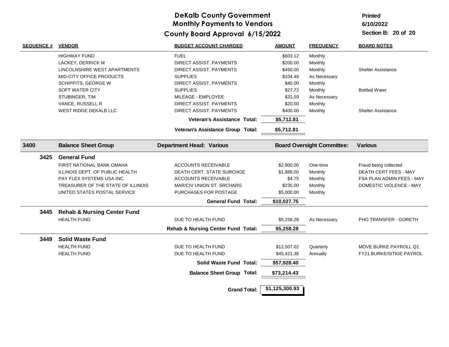**Printed**

**6/10/2022**

| <b>SEQUENCE #</b> | <b>VENDOR</b>                          | <b>BUDGET ACCOUNT CHARGED</b>                 | <b>AMOUNT</b>  | <b>FREQUENCY</b>                  | <b>BOARD NOTES</b>        |
|-------------------|----------------------------------------|-----------------------------------------------|----------------|-----------------------------------|---------------------------|
|                   | <b>HIGHWAY FUND</b>                    | <b>FUEL</b>                                   | \$603.12       | Monthly                           |                           |
|                   | LACKEY, DERRICK M                      | DIRECT ASSIST. PAYMENTS                       | \$200.00       | Monthly                           |                           |
|                   | LINCOLNSHIRE WEST APARTMENTS           | DIRECT ASSIST. PAYMENTS                       | \$450.00       | Monthly                           | <b>Shelter Assistance</b> |
|                   | MID-CITY OFFICE PRODUCTS               | <b>SUPPLIES</b>                               | \$104.49       | As Necessary                      |                           |
|                   | SCHIPPITS, GEORGE W                    | DIRECT ASSIST. PAYMENTS                       | \$40.00        | Monthly                           |                           |
|                   | SOFT WATER CITY                        | <b>SUPPLIES</b>                               | \$27.72        | Monthly                           | <b>Bottled Water</b>      |
|                   | STUBINGER, TIM                         | MILEAGE - EMPLOYEE                            | \$31.59        | As Necessary                      |                           |
|                   | VANCE, RUSSELL R                       | DIRECT ASSIST. PAYMENTS                       | \$20.00        | Monthly                           |                           |
|                   | WEST RIDGE DEKALB LLC                  | DIRECT ASSIST. PAYMENTS                       | \$400.00       | Monthly                           | <b>Shelter Assistance</b> |
|                   |                                        | Veteran's Assistance Total:                   | \$5,712.81     |                                   |                           |
|                   |                                        | Veteran's Assistance Group Total:             | \$5,712.81     |                                   |                           |
| 3400              | <b>Balance Sheet Group</b>             | <b>Department Head: Various</b>               |                | <b>Board Oversight Committee:</b> | <b>Various</b>            |
| 3425              | <b>General Fund</b>                    |                                               |                |                                   |                           |
|                   | FIRST NATIONAL BANK OMAHA              | <b>ACCOUNTS RECEIVABLE</b>                    | \$2,900.00     | One-time                          | Fraud being collected     |
|                   | ILLINOIS DEPT. OF PUBLIC HEALTH        | DEATH CERT. STATE SURCHGE                     | \$1,888.00     | Monthly                           | DEATH CERT FEES - MAY     |
|                   | PAY FLEX SYSTEMS USA INC.              | <b>ACCOUNTS RECEIVABLE</b>                    | \$4.75         | Monthly                           | FSA PLAN ADMIN FEES - MAY |
|                   | TREASURER OF THE STATE OF ILLINOIS     | MAR/CIV UNION ST. SRCHARG                     | \$235.00       | Monthly                           | DOMESTIC VIOLENCE - MAY   |
|                   | UNITED STATES POSTAL SERVICE           | PURCHASES FOR POSTAGE                         | \$5,000.00     | Monthly                           |                           |
|                   |                                        | <b>General Fund Total:</b>                    | \$10,027.75    |                                   |                           |
| 3445              | <b>Rehab &amp; Nursing Center Fund</b> |                                               |                |                                   |                           |
|                   | <b>HEALTH FUND</b>                     | DUE TO HEALTH FUND                            | \$5,258.28     | As Necessary                      | PHO TRANSFER - GORETH     |
|                   |                                        | <b>Rehab &amp; Nursing Center Fund Total:</b> | \$5,258.28     |                                   |                           |
| 3449              | <b>Solid Waste Fund</b>                |                                               |                |                                   |                           |
|                   | <b>HEALTH FUND</b>                     | DUE TO HEALTH FUND                            | \$12,507.02    | Quarterly                         | MOVE BURKE PAYROLL Q1     |
|                   | <b>HEALTH FUND</b>                     | DUE TO HEALTH FUND                            | \$45,421.38    | Annually                          | FY21 BURKE/SITKIE PAYROL  |
|                   |                                        | <b>Solid Waste Fund Total:</b>                | \$57,928.40    |                                   |                           |
|                   |                                        | <b>Balance Sheet Group Total:</b>             | \$73,214.43    |                                   |                           |
|                   |                                        | <b>Grand Total:</b>                           | \$1,125,300.93 |                                   |                           |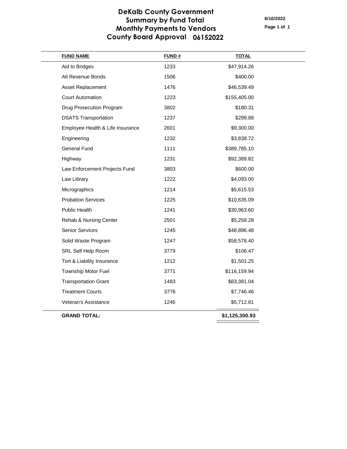### **DeKalb County Government Summary by Fund Total Monthly Payments to Vendors County Board Approval 06152022**

**Page 1 of 1 6/10/2022**

| <b>FUND NAME</b>                 | <b>FUND#</b> | <b>TOTAL</b>   |
|----------------------------------|--------------|----------------|
| Aid to Bridges                   | 1233         | \$47,914.26    |
| Alt Revenue Bonds                | 1506         | \$400.00       |
| Asset Replacement                | 1476         | \$46,539.49    |
| <b>Court Automation</b>          | 1223         | \$155,405.00   |
| <b>Drug Prosecution Program</b>  | 3802         | \$180.31       |
| <b>DSATS Transportation</b>      | 1237         | \$299.88       |
| Employee Health & Life Insurance | 2601         | \$9,300.00     |
| Engineering                      | 1232         | \$3,838.72     |
| <b>General Fund</b>              | 1111         | \$389,785.10   |
| Highway                          | 1231         | \$92,389.82    |
| Law Enforcement Projects Fund    | 3803         | \$600.00       |
| Law Library                      | 1222         | \$4,093.00     |
| Micrographics                    | 1214         | \$5,615.53     |
| <b>Probation Services</b>        | 1225         | \$10,635.09    |
| Public Health                    | 1241         | \$30,963.60    |
| Rehab & Nursing Center           | 2501         | \$5,258.28     |
| Senior Services                  | 1245         | \$48,896.48    |
| Solid Waste Program              | 1247         | \$58,578.40    |
| SRL Self Help Room               | 3779         | \$106.47       |
| Tort & Liability Insurance       | 1212         | \$1,501.25     |
| Township Motor Fuel              | 3771         | \$116,159.94   |
| <b>Transportation Grant</b>      | 1483         | \$83,381.04    |
| <b>Treatment Courts</b>          | 3776         | \$7,746.46     |
| Veteran's Assistance             | 1246         | \$5,712.81     |
| <b>GRAND TOTAL:</b>              |              | \$1,125,300.93 |
|                                  |              |                |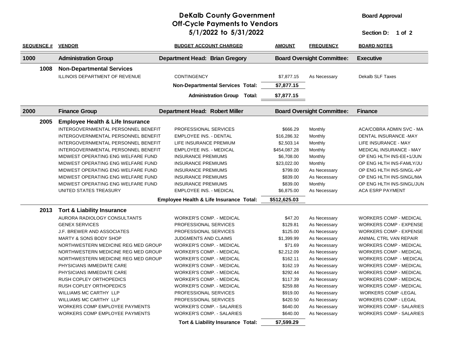### **DeKalb County Government 5/1/2022 1 of 2 to 5/31/2022 Section D: Off-Cycle Payments to Vendors**

**Board Approval**

| <b>SEQUENCE #</b> | <b>VENDOR</b>                               | <b>BUDGET ACCOUNT CHARGED</b>           | <b>AMOUNT</b>        | <b>FREQUENCY</b>                  | <b>BOARD NOTES</b>             |
|-------------------|---------------------------------------------|-----------------------------------------|----------------------|-----------------------------------|--------------------------------|
| 1000              | <b>Administration Group</b>                 | <b>Department Head: Brian Gregory</b>   |                      | <b>Board Oversight Committee:</b> | <b>Executive</b>               |
| 1008              | <b>Non-Departmental Services</b>            |                                         |                      |                                   |                                |
|                   | <b>ILLINOIS DEPARTMENT OF REVENUE</b>       | <b>CONTINGENCY</b>                      | \$7,877.15           | As Necessary                      | <b>Dekalb SLF Taxes</b>        |
|                   |                                             | <b>Non-Departmental Services Total:</b> | \$7,877.15           |                                   |                                |
|                   |                                             | <b>Administration Group</b>             | Total:<br>\$7,877.15 |                                   |                                |
|                   |                                             |                                         |                      |                                   |                                |
| 2000              | <b>Finance Group</b>                        | <b>Department Head: Robert Miller</b>   |                      | <b>Board Oversight Committee:</b> | <b>Finance</b>                 |
| 2005              | <b>Employee Health &amp; Life Insurance</b> |                                         |                      |                                   |                                |
|                   | INTERGOVERNMENTAL PERSONNEL BENEFIT         | PROFESSIONAL SERVICES                   | \$666.29             | Monthly                           | ACA/COBRA ADMIN SVC - MA       |
|                   | INTERGOVERNMENTAL PERSONNEL BENEFIT         | <b>EMPLOYEE INS. - DENTAL</b>           | \$16,286.32          | Monthly                           | DENTAL INSURANCE -MAY          |
|                   | INTERGOVERNMENTAL PERSONNEL BENEFIT         | LIFE INSURANCE PREMIUM                  | \$2,503.14           | Monthly                           | LIFE INSURANCE - MAY           |
|                   | INTERGOVERNMENTAL PERSONNEL BENEFIT         | <b>EMPLOYEE INS. - MEDICAL</b>          | \$454,087.28         | Monthly                           | <b>MEDICAL INSURANCE - MAY</b> |
|                   | MIDWEST OPERATING ENG WELFARE FUND          | <b>INSURANCE PREMIUMS</b>               | \$6,708.00           | Monthly                           | OP ENG HLTH INS-EE+1/JUN       |
|                   | MIDWEST OPERATING ENG WELFARE FUND          | <b>INSURANCE PREMIUMS</b>               | \$23,022.00          | Monthly                           | OP ENG HLTH INS-FAMLY/JU       |
|                   | MIDWEST OPERATING ENG WELFARE FUND          | <b>INSURANCE PREMIUMS</b>               | \$799.00             | As Necessary                      | OP ENG HLTH INS-SINGL-AP       |
|                   | MIDWEST OPERATING ENG WELFARE FUND          | <b>INSURANCE PREMIUMS</b>               | \$839.00             | As Necessary                      | OP ENG HLTH INS-SINGL/MA       |
|                   | MIDWEST OPERATING ENG WELFARE FUND          | <b>INSURANCE PREMIUMS</b>               | \$839.00             | Monthly                           | OP ENG HLTH INS-SINGL/JUN      |
|                   | UNITED STATES TREASURY                      | <b>EMPLOYEE INS. - MEDICAL</b>          | \$6,875.00           | As Necessary                      | <b>ACA ESRP PAYMENT</b>        |
|                   |                                             | Employee Health & Life Insurance Total: | \$512,625.03         |                                   |                                |
| 2013              | <b>Tort &amp; Liability Insurance</b>       |                                         |                      |                                   |                                |
|                   | AURORA RADIOLOGY CONSULTANTS                | <b>WORKER'S COMP. - MEDICAL</b>         | \$47.20              | As Necessary                      | <b>WORKERS COMP - MEDICAL</b>  |
|                   | <b>GENEX SERVICES</b>                       | PROFESSIONAL SERVICES                   | \$129.81             | As Necessary                      | <b>WORKERS COMP - EXPENSE</b>  |
|                   | J.F. BREWER AND ASSOCIATES                  | PROFESSIONAL SERVICES                   | \$125.00             | As Necessary                      | <b>WORKERS COMP - EXPENSE</b>  |
|                   | <b>MARTY &amp; SONS BODY SHOP</b>           | JUDGMENTS AND CLAIMS                    | \$1,399.99           | As Necessary                      | ANIMAL CTRL VAN REPAIR         |
|                   | NORTHWESTERN MEDICINE REG MED GROUP         | <b>WORKER'S COMP. - MEDICAL</b>         | \$71.69              | As Necessary                      | <b>WORKERS COMP - MEDICAL</b>  |
|                   | NORTHWESTERN MEDICINE REG MED GROUP         | <b>WORKER'S COMP. - MEDICAL</b>         | \$2,212.09           | As Necessary                      | <b>WORKERS COMP - MEDICAL</b>  |
|                   | NORTHWESTERN MEDICINE REG MED GROUP         | <b>WORKER'S COMP. - MEDICAL</b>         | \$162.11             | As Necessary                      | <b>WORKERS COMP - MEDICAL</b>  |
|                   | PHYSICIANS IMMEDIATE CARE                   | <b>WORKER'S COMP. - MEDICAL</b>         | \$162.19             | As Necessary                      | <b>WORKERS COMP - MEDICAL</b>  |
|                   | PHYSICIANS IMMEDIATE CARE                   | <b>WORKER'S COMP. - MEDICAL</b>         | \$292.44             | As Necessary                      | <b>WORKERS COMP - MEDICAL</b>  |
|                   | RUSH COPLEY ORTHOPEDICS                     | <b>WORKER'S COMP. - MEDICAL</b>         | \$117.39             | As Necessary                      | <b>WORKERS COMP - MEDICAL</b>  |
|                   | RUSH COPLEY ORTHOPEDICS                     | <b>WORKER'S COMP. - MEDICAL</b>         | \$259.88             | As Necessary                      | <b>WORKERS COMP - MEDICAL</b>  |
|                   | WILLIAMS MC CARTHY LLP                      | PROFESSIONAL SERVICES                   | \$919.00             | As Necessary                      | <b>WORKERS COMP -LEGAL</b>     |
|                   | <b>WILLIAMS MC CARTHY LLP</b>               | PROFESSIONAL SERVICES                   | \$420.50             | As Necessary                      | <b>WORKERS COMP - LEGAL</b>    |
|                   | WORKERS COMP EMPLOYEE PAYMENTS              | <b>WORKER'S COMP. - SALARIES</b>        | \$640.00             | As Necessary                      | <b>WORKERS COMP - SALARIES</b> |
|                   | <b>WORKERS COMP EMPLOYEE PAYMENTS</b>       | <b>WORKER'S COMP. - SALARIES</b>        | \$640.00             | As Necessary                      | <b>WORKERS COMP - SALARIES</b> |
|                   |                                             | Tort & Liability Insurance Total:       | \$7,599.29           |                                   |                                |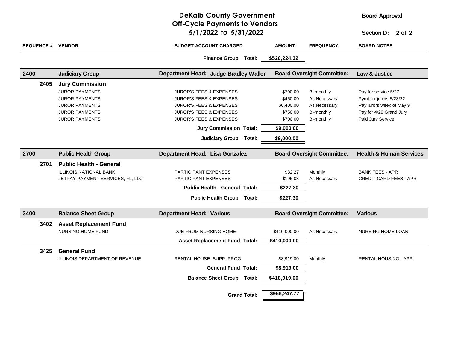### **DeKalb County Government 5/1/2022 2 of 2 to 5/31/2022 Section D: Off-Cycle Payments to Vendors**

**Board Approval**

| <b>SEQUENCE #</b> | <b>VENDOR</b>                    | <b>BUDGET ACCOUNT CHARGED</b>         | <b>AMOUNT</b>                     | <b>FREQUENCY</b>                  | BOARD NOTES                        |
|-------------------|----------------------------------|---------------------------------------|-----------------------------------|-----------------------------------|------------------------------------|
|                   |                                  | Finance Group Total:                  | \$520,224.32                      |                                   |                                    |
| 2400              | <b>Judiciary Group</b>           | Department Head: Judge Bradley Waller |                                   | <b>Board Oversight Committee:</b> | Law & Justice                      |
| 2405              | <b>Jury Commission</b>           |                                       |                                   |                                   |                                    |
|                   | <b>JUROR PAYMENTS</b>            | <b>JUROR'S FEES &amp; EXPENSES</b>    | \$700.00                          | Bi-monthly                        | Pay for service 5/27               |
|                   | <b>JUROR PAYMENTS</b>            | <b>JUROR'S FEES &amp; EXPENSES</b>    | \$450.00                          | As Necessary                      | Pymt for jurors 5/23/22            |
|                   | <b>JUROR PAYMENTS</b>            | <b>JUROR'S FEES &amp; EXPENSES</b>    | \$6,400.00                        | As Necessary                      | Pay jurors week of May 9           |
|                   | <b>JUROR PAYMENTS</b>            | <b>JUROR'S FEES &amp; EXPENSES</b>    | \$750.00                          | Bi-monthly                        | Pay for 4/29 Grand Jury            |
|                   | <b>JUROR PAYMENTS</b>            | <b>JUROR'S FEES &amp; EXPENSES</b>    | \$700.00                          | Bi-monthly                        | Paid Jury Service                  |
|                   |                                  | <b>Jury Commission Total:</b>         | \$9,000.00                        |                                   |                                    |
|                   |                                  | <b>Judiciary Group</b><br>Total:      | \$9,000.00                        |                                   |                                    |
|                   |                                  |                                       |                                   |                                   |                                    |
| 2700              | <b>Public Health Group</b>       | Department Head: Lisa Gonzalez        | <b>Board Oversight Committee:</b> |                                   | <b>Health &amp; Human Services</b> |
| 2701              | <b>Public Health - General</b>   |                                       |                                   |                                   |                                    |
|                   | <b>ILLINOIS NATIONAL BANK</b>    | <b>PARTICIPANT EXPENSES</b>           | \$32.27                           | Monthly                           | BANK FEES - APR                    |
|                   | JETPAY PAYMENT SERVICES, FL, LLC | PARTICIPANT EXPENSES                  | \$195.03                          | As Necessary                      | <b>CREDIT CARD FEES - APR</b>      |
|                   |                                  | <b>Public Health - General Total:</b> | \$227.30                          |                                   |                                    |
|                   |                                  | Public Health Group Total:            | \$227.30                          |                                   |                                    |
|                   |                                  |                                       |                                   |                                   |                                    |
| 3400              | <b>Balance Sheet Group</b>       | <b>Department Head: Various</b>       |                                   | <b>Board Oversight Committee:</b> | <b>Various</b>                     |
| 3402              | <b>Asset Replacement Fund</b>    |                                       |                                   |                                   |                                    |
|                   | NURSING HOME FUND                | DUE FROM NURSING HOME                 | \$410,000.00                      | As Necessary                      | <b>NURSING HOME LOAN</b>           |
|                   |                                  | <b>Asset Replacement Fund Total:</b>  | \$410,000.00                      |                                   |                                    |
| 3425              | <b>General Fund</b>              |                                       |                                   |                                   |                                    |
|                   | ILLINOIS DEPARTMENT OF REVENUE   | RENTAL HOUSE, SUPP, PROG              | \$8,919.00                        | Monthly                           | RENTAL HOUSING - APR               |
|                   |                                  | <b>General Fund Total:</b>            | \$8,919.00                        |                                   |                                    |
|                   |                                  | <b>Balance Sheet Group Total:</b>     | \$418,919.00                      |                                   |                                    |
|                   |                                  |                                       |                                   |                                   |                                    |
|                   |                                  | <b>Grand Total:</b>                   | \$956,247.77                      |                                   |                                    |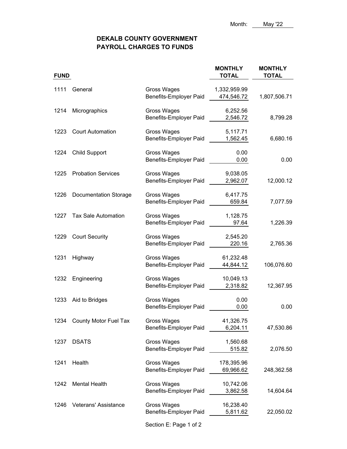### **DEKALB COUNTY GOVERNMENT PAYROLL CHARGES TO FUNDS**

| <b>FUND</b> |                              |                                              | <b>MONTHLY</b><br><b>TOTAL</b> | <b>MONTHLY</b><br><b>TOTAL</b> |
|-------------|------------------------------|----------------------------------------------|--------------------------------|--------------------------------|
| 1111        | General                      | Gross Wages<br>Benefits-Employer Paid        | 1,332,959.99<br>474,546.72     | 1,807,506.71                   |
| 1214        | Micrographics                | Gross Wages<br><b>Benefits-Employer Paid</b> | 6,252.56<br>2,546.72           | 8,799.28                       |
| 1223        | <b>Court Automation</b>      | Gross Wages<br>Benefits-Employer Paid        | 5,117.71<br>1,562.45           | 6,680.16                       |
|             | 1224 Child Support           | <b>Gross Wages</b><br>Benefits-Employer Paid | 0.00<br>0.00                   | 0.00                           |
| 1225        | <b>Probation Services</b>    | <b>Gross Wages</b><br>Benefits-Employer Paid | 9,038.05<br>2,962.07           | 12,000.12                      |
| 1226        | <b>Documentation Storage</b> | Gross Wages<br>Benefits-Employer Paid        | 6,417.75<br>659.84             | 7,077.59                       |
| 1227        | <b>Tax Sale Automation</b>   | Gross Wages<br>Benefits-Employer Paid        | 1,128.75<br>97.64              | 1,226.39                       |
| 1229        | <b>Court Security</b>        | <b>Gross Wages</b><br>Benefits-Employer Paid | 2,545.20<br>220.16             | 2,765.36                       |
| 1231        | Highway                      | Gross Wages<br>Benefits-Employer Paid        | 61,232.48<br>44,844.12         | 106,076.60                     |
| 1232        | Engineering                  | Gross Wages<br>Benefits-Employer Paid        | 10,049.13<br>2,318.82          | 12,367.95                      |
| 1233        | Aid to Bridges               | Gross Wages<br><b>Benefits-Employer Paid</b> | 0.00<br>0.00                   | 0.00                           |
|             | 1234 County Motor Fuel Tax   | <b>Gross Wages</b><br>Benefits-Employer Paid | 41,326.75<br>6,204.11          | 47,530.86                      |
| 1237        | <b>DSATS</b>                 | <b>Gross Wages</b><br>Benefits-Employer Paid | 1,560.68<br>515.82             | 2,076.50                       |
| 1241        | Health                       | <b>Gross Wages</b><br>Benefits-Employer Paid | 178,395.96<br>69,966.62        | 248,362.58                     |
| 1242        | <b>Mental Health</b>         | <b>Gross Wages</b><br>Benefits-Employer Paid | 10,742.06<br>3,862.58          | 14,604.64                      |
| 1246        | Veterans' Assistance         | <b>Gross Wages</b><br>Benefits-Employer Paid | 16,238.40<br>5,811.62          | 22,050.02                      |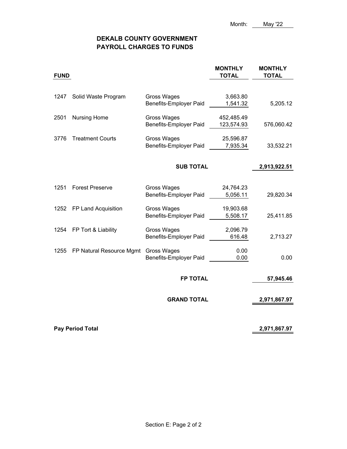### **DEKALB COUNTY GOVERNMENT PAYROLL CHARGES TO FUNDS**

| <b>FUND</b> |                          |                                              | <b>MONTHLY</b><br><b>TOTAL</b> | <b>MONTHLY</b><br><b>TOTAL</b> |
|-------------|--------------------------|----------------------------------------------|--------------------------------|--------------------------------|
|             |                          |                                              |                                |                                |
| 1247        | Solid Waste Program      | Gross Wages                                  | 3,663.80                       |                                |
|             |                          | Benefits-Employer Paid                       | 1,541.32                       | 5,205.12                       |
| 2501        | <b>Nursing Home</b>      | Gross Wages                                  | 452,485.49                     |                                |
|             |                          | <b>Benefits-Employer Paid</b>                | 123,574.93                     | 576,060.42                     |
| 3776        | <b>Treatment Courts</b>  | Gross Wages                                  | 25,596.87                      |                                |
|             |                          | <b>Benefits-Employer Paid</b>                | 7,935.34                       | 33,532.21                      |
|             |                          |                                              |                                |                                |
|             |                          | <b>SUB TOTAL</b>                             |                                | 2,913,922.51                   |
|             |                          |                                              |                                |                                |
| 1251        | <b>Forest Preserve</b>   | Gross Wages<br><b>Benefits-Employer Paid</b> | 24,764.23<br>5,056.11          | 29,820.34                      |
|             |                          |                                              |                                |                                |
| 1252        | FP Land Acquisition      | Gross Wages                                  | 19,903.68                      |                                |
|             |                          | Benefits-Employer Paid                       | 5,508.17                       | 25,411.85                      |
| 1254        | FP Tort & Liability      | Gross Wages                                  | 2,096.79                       |                                |
|             |                          | Benefits-Employer Paid                       | 616.48                         | 2,713.27                       |
| 1255        | FP Natural Resource Mgmt | Gross Wages                                  | 0.00                           |                                |
|             |                          | <b>Benefits-Employer Paid</b>                | 0.00                           | 0.00                           |
|             |                          | <b>FP TOTAL</b>                              |                                |                                |
|             |                          |                                              |                                | 57,945.46                      |
|             |                          | <b>GRAND TOTAL</b>                           |                                | 2,971,867.97                   |
|             |                          |                                              |                                | 2,971,867.97                   |
|             | <b>Pay Period Total</b>  |                                              |                                |                                |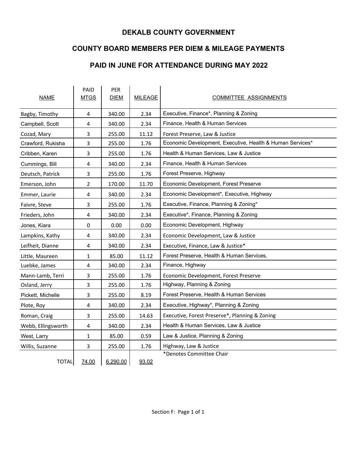### **DEKALB COUNTY GOVERNMENT**

### **COUNTY BOARD MEMBERS PER DIEM & MILEAGE PAYMENTS**

### **PAID IN JUNE FOR ATTENDANCE DURING MAY 2022**

| <b>NAME</b>        | PAID<br><b>MTGS</b> | PER<br><b>DIEM</b> | <b>MILEAGE</b> | <b>COMMITTEE ASSIGNMENTS</b>                              |
|--------------------|---------------------|--------------------|----------------|-----------------------------------------------------------|
| Bagby, Timothy     | 4                   | 340.00             | 2.34           | Executive, Finance*, Planning & Zoning                    |
| Campbell, Scott    | 4                   | 340.00             | 2.34           | Finance, Health & Human Services                          |
| Cozad, Mary        | 3                   | 255.00             | 11.12          | Forest Preserve, Law & Justice                            |
| Crawford, Rukisha  | 3                   | 255.00             | 1.76           | Economic Development, Executive, Health & Human Services* |
| Cribben, Karen     | 3                   | 255.00             | 1.76           | Health & Human Services, Law & Justice                    |
| Cummings, Bill     | 4                   | 340.00             | 2.34           | Finance, Health & Human Services                          |
| Deutsch, Patrick   | 3                   | 255.00             | 1.76           | Forest Preserve, Highway                                  |
| Emerson, John      | 2                   | 170.00             | 11.70          | Economic Development, Forest Preserve                     |
| Emmer, Laurie      | 4                   | 340.00             | 2.34           | Economic Development*, Executive, Highway                 |
| Faivre, Steve      | 3                   | 255.00             | 1.76           | Executive, Finance, Planning & Zoning*                    |
| Frieders, John     | 4                   | 340.00             | 2.34           | Executive*, Finance, Planning & Zoning                    |
| Jones, Kiara       | 0                   | 0.00               | 0.00           | Economic Development, Highway                             |
| Lampkins, Kathy    | 4                   | 340.00             | 2.34           | Economic Development, Law & Justice                       |
| Leifheit, Dianne   | 4                   | 340.00             | 2.34           | Executive, Finance, Law & Justice*                        |
| Little, Maureen    | 1                   | 85.00              | 11.12          | Forest Preserve, Health & Human Services,                 |
| Luebke, James      | 4                   | 340.00             | 2.34           | Finance, Highway                                          |
| Mann-Lamb, Terri   | 3                   | 255.00             | 1.76           | Economic Development, Forest Preserve                     |
| Osland, Jerry      | 3                   | 255.00             | 1.76           | Highway, Planning & Zoning                                |
| Pickett, Michelle  | 3                   | 255.00             | 8.19           | Forest Preserve, Health & Human Services                  |
| Plote, Roy         | 4                   | 340.00             | 2.34           | Executive, Highway*, Planning & Zoning                    |
| Roman, Craig       | 3                   | 255.00             | 14.63          | Executive, Forest Preserve*, Planning & Zoning            |
| Webb, Ellingsworth | 4                   | 340.00             | 2.34           | Health & Human Services, Law & Justice                    |
| West, Larry        | 1                   | 85.00              | 0.59           | Law & Justice, Planning & Zoning                          |
| Willis, Suzanne    | 3                   | 255.00             | 1.76           | Highway, Law & Justice                                    |
| <b>TOTAL</b>       | 74.00               | 6,290.00           | 93.02          | *Denotes Committee Chair                                  |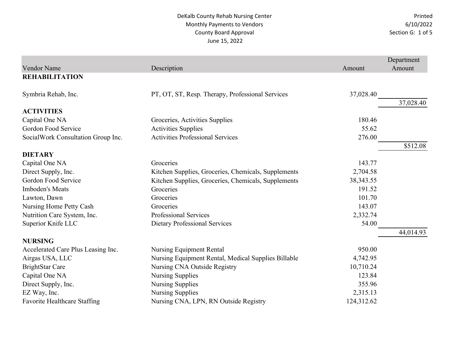|                                     |                                                     |             | Department |
|-------------------------------------|-----------------------------------------------------|-------------|------------|
| <b>Vendor Name</b>                  | Description                                         | Amount      | Amount     |
| <b>REHABILITATION</b>               |                                                     |             |            |
| Symbria Rehab, Inc.                 | PT, OT, ST, Resp. Therapy, Professional Services    | 37,028.40   |            |
|                                     |                                                     |             | 37,028.40  |
| <b>ACTIVITIES</b>                   |                                                     |             |            |
| Capital One NA                      | Groceries, Activities Supplies                      | 180.46      |            |
| Gordon Food Service                 | <b>Activities Supplies</b>                          | 55.62       |            |
| SocialWork Consultation Group Inc.  | <b>Activities Professional Services</b>             | 276.00      |            |
|                                     |                                                     |             | \$512.08   |
| <b>DIETARY</b>                      |                                                     |             |            |
| Capital One NA                      | Groceries                                           | 143.77      |            |
| Direct Supply, Inc.                 | Kitchen Supplies, Groceries, Chemicals, Supplements | 2,704.58    |            |
| Gordon Food Service                 | Kitchen Supplies, Groceries, Chemicals, Supplements | 38, 343. 55 |            |
| Imboden's Meats                     | Groceries                                           | 191.52      |            |
| Lawton, Dawn                        | Groceries                                           | 101.70      |            |
| Nursing Home Petty Cash             | Groceries                                           | 143.07      |            |
| Nutrition Care System, Inc.         | Professional Services                               | 2,332.74    |            |
| Superior Knife LLC                  | <b>Dietary Professional Services</b>                | 54.00       |            |
|                                     |                                                     |             | 44,014.93  |
| <b>NURSING</b>                      |                                                     |             |            |
| Accelerated Care Plus Leasing Inc.  | <b>Nursing Equipment Rental</b>                     | 950.00      |            |
| Airgas USA, LLC                     | Nursing Equipment Rental, Medical Supplies Billable | 4,742.95    |            |
| <b>BrightStar Care</b>              | Nursing CNA Outside Registry                        | 10,710.24   |            |
| Capital One NA                      | <b>Nursing Supplies</b>                             | 123.84      |            |
| Direct Supply, Inc.                 | <b>Nursing Supplies</b>                             | 355.96      |            |
| EZ Way, Inc.                        | <b>Nursing Supplies</b>                             | 2,315.13    |            |
| <b>Favorite Healthcare Staffing</b> | Nursing CNA, LPN, RN Outside Registry               | 124,312.62  |            |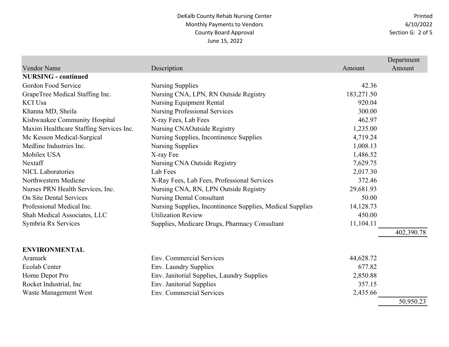Printed 6/10/2022 Section G: 2 of 5

|                                         |                                                           |            | Department |
|-----------------------------------------|-----------------------------------------------------------|------------|------------|
| <b>Vendor Name</b>                      | Description                                               | Amount     | Amount     |
| <b>NURSING - continued</b>              |                                                           |            |            |
| Gordon Food Service                     | Nursing Supplies                                          | 42.36      |            |
| GrapeTree Medical Staffing Inc.         | Nursing CNA, LPN, RN Outside Registry                     | 183,271.50 |            |
| <b>KCI Usa</b>                          | <b>Nursing Equipment Rental</b>                           | 920.04     |            |
| Khanna MD, Sheila                       | <b>Nursing Professional Services</b>                      | 300.00     |            |
| Kishwaukee Community Hospital           | X-ray Fees, Lab Fees                                      | 462.97     |            |
| Maxim Healthcare Staffing Services Inc. | Nursing CNAOutside Registry                               | 1,235.00   |            |
| Mc Kesson Medical-Surgical              | Nursing Supplies, Incontinence Supplies                   | 4,719.24   |            |
| Medline Industries Inc.                 | <b>Nursing Supplies</b>                                   | 1,008.13   |            |
| Mobilex USA                             | X-ray Fee                                                 | 1,486.52   |            |
| Nextaff                                 | Nursing CNA Outside Registry                              | 7,629.75   |            |
| <b>NICL Laboratories</b>                | Lab Fees                                                  | 2,017.30   |            |
| Northwestern Medicne                    | X-Ray Fees, Lab Fees, Professional Services               | 372.46     |            |
| Nurses PRN Health Services, Inc.        | Nursing CNA, RN, LPN Outside Registry                     | 29,681.93  |            |
| On Site Dental Services                 | <b>Nursing Dental Consultant</b>                          | 50.00      |            |
| Professional Medical Inc.               | Nursing Supplies, Incontinence Supplies, Medical Supplies | 14,128.73  |            |
| Shah Medical Associates, LLC            | <b>Utilization Review</b>                                 | 450.00     |            |
| Symbria Rx Services                     | Supplies, Medicare Drugs, Pharmacy Consultant             | 11,104.11  |            |
|                                         |                                                           |            | 402,390.78 |
| <b>ENVIRONMENTAL</b>                    |                                                           |            |            |
| Aramark                                 | <b>Env. Commercial Services</b>                           | 44,628.72  |            |
| <b>Ecolab Center</b>                    | Env. Laundry Supplies                                     | 677.82     |            |
| Home Depot Pro                          | Env. Janitorial Supplies, Laundry Supplies                | 2,850.88   |            |
| Rocket Industrial, Inc                  | Env. Janitorial Supplies                                  | 357.15     |            |
| Waste Management West                   | Env. Commercial Services                                  | 2,435.66   |            |
|                                         |                                                           |            | 50,950.23  |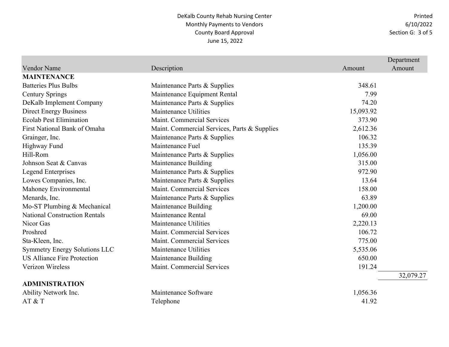Printed 6/10/2022 Section G: 3 of 5

|                                      |                                              |           | Department |
|--------------------------------------|----------------------------------------------|-----------|------------|
| <b>Vendor Name</b>                   | Description                                  | Amount    | Amount     |
| <b>MAINTENANCE</b>                   |                                              |           |            |
| <b>Batteries Plus Bulbs</b>          | Maintenance Parts & Supplies                 | 348.61    |            |
| <b>Century Springs</b>               | Maintenance Equipment Rental                 | 7.99      |            |
| DeKalb Implement Company             | Maintenance Parts & Supplies                 | 74.20     |            |
| <b>Direct Energy Business</b>        | Maintenance Utilities                        | 15,093.92 |            |
| <b>Ecolab Pest Elimination</b>       | Maint. Commercial Services                   | 373.90    |            |
| First National Bank of Omaha         | Maint. Commercial Services, Parts & Supplies | 2,612.36  |            |
| Grainger, Inc.                       | Maintenance Parts & Supplies                 | 106.32    |            |
| Highway Fund                         | Maintenance Fuel                             | 135.39    |            |
| Hill-Rom                             | Maintenance Parts & Supplies                 | 1,056.00  |            |
| Johnson Seat & Canvas                | Maintenance Building                         | 315.00    |            |
| <b>Legend Enterprises</b>            | Maintenance Parts & Supplies                 | 972.90    |            |
| Lowes Companies, Inc.                | Maintenance Parts & Supplies                 | 13.64     |            |
| Mahoney Environmental                | Maint. Commercial Services                   | 158.00    |            |
| Menards, Inc.                        | Maintenance Parts & Supplies                 | 63.89     |            |
| Mo-ST Plumbing & Mechanical          | Maintenance Building                         | 1,200.00  |            |
| <b>National Construction Rentals</b> | Maintenance Rental                           | 69.00     |            |
| Nicor Gas                            | Maintenance Utilities                        | 2,220.13  |            |
| Proshred                             | Maint. Commercial Services                   | 106.72    |            |
| Sta-Kleen, Inc.                      | Maint. Commercial Services                   | 775.00    |            |
| <b>Symmetry Energy Solutions LLC</b> | Maintenance Utilities                        | 5,535.06  |            |
| <b>US Alliance Fire Protection</b>   | Maintenance Building                         | 650.00    |            |
| Verizon Wireless                     | Maint. Commercial Services                   | 191.24    |            |
|                                      |                                              |           | 32,079.27  |
| <b>ADMINISTRATION</b>                |                                              |           |            |
| Ability Network Inc.                 | Maintenance Software                         | 1,056.36  |            |
| AT & T                               | Telephone                                    | 41.92     |            |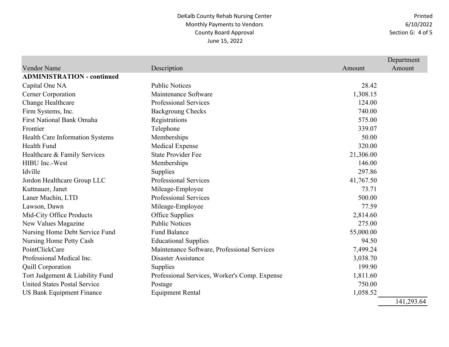Printed 6/10/2022 Section G: 4 of 5

|                                     |                                               |           | Department |
|-------------------------------------|-----------------------------------------------|-----------|------------|
| Vendor Name                         | Description                                   | Amount    | Amount     |
| <b>ADMINISTRATION - continued</b>   |                                               |           |            |
| Capital One NA                      | <b>Public Notices</b>                         | 28.42     |            |
| Cerner Corporation                  | Maintenance Software                          | 1,308.15  |            |
| Change Healthcare                   | <b>Professional Services</b>                  | 124.00    |            |
| Firm Systems, Inc.                  | <b>Backgroung Checks</b>                      | 740.00    |            |
| <b>First National Bank Omaha</b>    | Registrations                                 | 575.00    |            |
| Frontier                            | Telephone                                     | 339.07    |            |
| Health Care Information Systems     | Memberships                                   | 50.00     |            |
| Health Fund                         | <b>Medical Expense</b>                        | 320.00    |            |
| Healthcare & Family Services        | <b>State Provider Fee</b>                     | 21,306.00 |            |
| HIBU Inc.-West                      | Memberships                                   | 146.00    |            |
| Idville                             | Supplies                                      | 297.86    |            |
| Jordon Healthcare Group LLC         | <b>Professional Services</b>                  | 41,767.50 |            |
| Kuttnauer, Janet                    | Mileage-Employee                              | 73.71     |            |
| Laner Muchin, LTD                   | <b>Professional Services</b>                  | 500.00    |            |
| Lawson, Dawn                        | Mileage-Employee                              | 77.59     |            |
| <b>Mid-City Office Products</b>     | Office Supplies                               | 2,814.60  |            |
| New Values Magazine                 | <b>Public Notices</b>                         | 275.00    |            |
| Nursing Home Debt Service Fund      | <b>Fund Balance</b>                           | 55,000.00 |            |
| Nursing Home Petty Cash             | <b>Educational Supplies</b>                   | 94.50     |            |
| PointClickCare                      | Maintenance Software, Professional Services   | 7,499.24  |            |
| Professional Medical Inc.           | Disaster Assistance                           | 3,038.70  |            |
| <b>Quill Corporation</b>            | <b>Supplies</b>                               | 199.90    |            |
| Tort Judgement & Liability Fund     | Professional Services, Worker's Comp. Expense | 1,811.60  |            |
| <b>United States Postal Service</b> | Postage                                       | 750.00    |            |
| <b>US Bank Equipment Finance</b>    | <b>Equipment Rental</b>                       | 1,058.52  | .          |

141,293.64